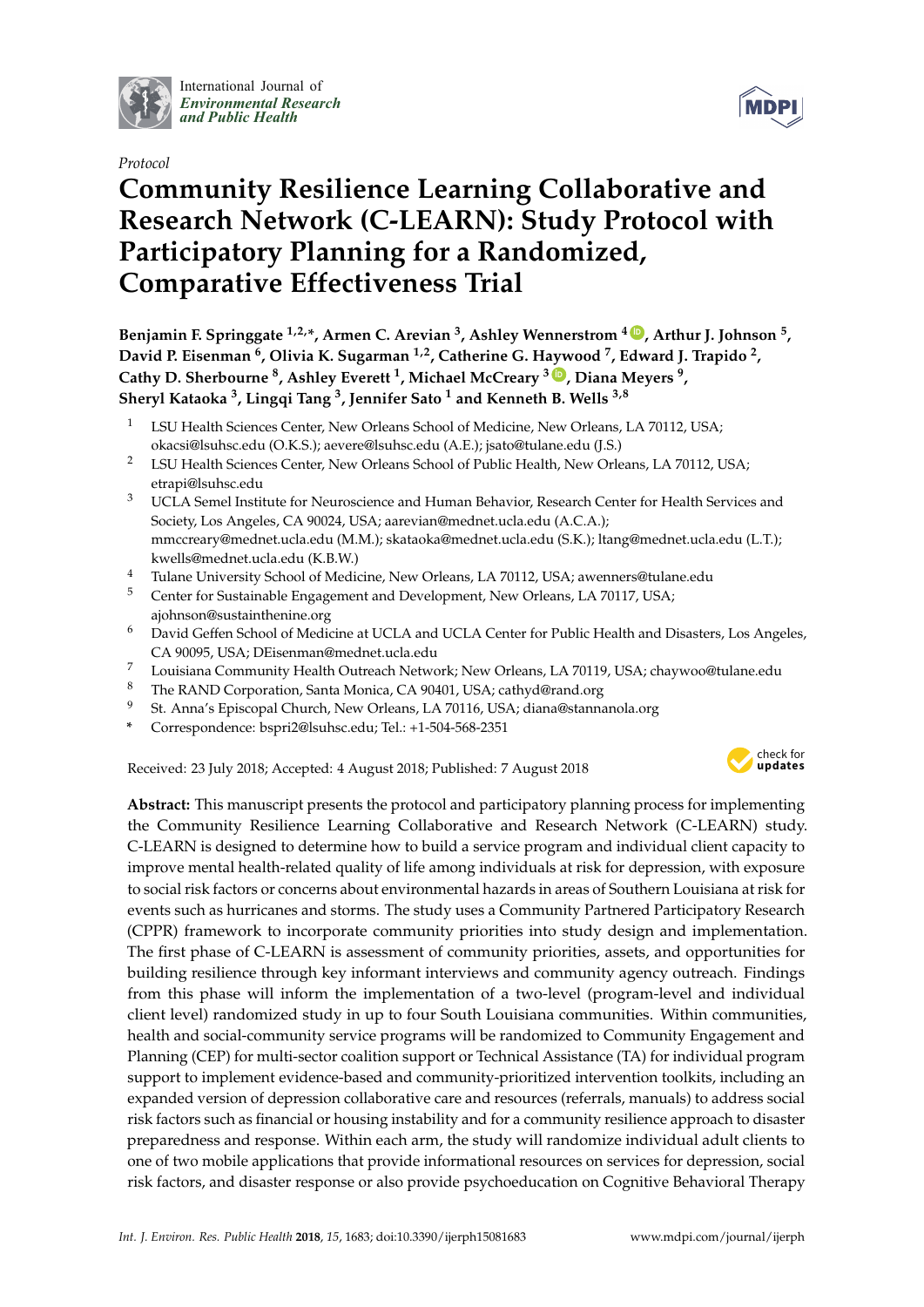

International Journal of *[Environmental Research](http://www.mdpi.com/journal/ijerph) and Public Health*





# **Community Resilience Learning Collaborative and Research Network (C-LEARN): Study Protocol with Participatory Planning for a Randomized, Comparative Effectiveness Trial**

**Benjamin F. Springgate 1,2,\*, Armen C. Arevian 3, Ashley Wennerstrom <sup>4</sup> [ID](https://orcid.org/0000-0003-1888-0432) , Arthur J. Johnson 5, David P. Eisenman 6, Olivia K. Sugarman 1,2, Catherine G. Haywood 7, Edward J. Trapido 2, Cathy D. Sherbourne 8, Ashley Everett 1, Michael McCreary <sup>3</sup> [ID](https://orcid.org/0000-0001-6709-5129) , Diana Meyers 9, Sheryl Kataoka 3, Lingqi Tang 3, Jennifer Sato <sup>1</sup> and Kenneth B. Wells 3,8**

- <sup>1</sup> LSU Health Sciences Center, New Orleans School of Medicine, New Orleans, LA 70112, USA; okacsi@lsuhsc.edu (O.K.S.); aevere@lsuhsc.edu (A.E.); jsato@tulane.edu (J.S.)
- <sup>2</sup> LSU Health Sciences Center, New Orleans School of Public Health, New Orleans, LA 70112, USA; etrapi@lsuhsc.edu
- <sup>3</sup> UCLA Semel Institute for Neuroscience and Human Behavior, Research Center for Health Services and Society, Los Angeles, CA 90024, USA; aarevian@mednet.ucla.edu (A.C.A.); mmccreary@mednet.ucla.edu (M.M.); skataoka@mednet.ucla.edu (S.K.); ltang@mednet.ucla.edu (L.T.); kwells@mednet.ucla.edu (K.B.W.)
- <sup>4</sup> Tulane University School of Medicine, New Orleans, LA 70112, USA; awenners@tulane.edu
- <sup>5</sup> Center for Sustainable Engagement and Development, New Orleans, LA 70117, USA; ajohnson@sustainthenine.org
- <sup>6</sup> David Geffen School of Medicine at UCLA and UCLA Center for Public Health and Disasters, Los Angeles, CA 90095, USA; DEisenman@mednet.ucla.edu
- <sup>7</sup> Louisiana Community Health Outreach Network; New Orleans, LA 70119, USA; chaywoo@tulane.edu
- <sup>8</sup> The RAND Corporation, Santa Monica, CA 90401, USA; cathyd@rand.org
- <sup>9</sup> St. Anna's Episcopal Church, New Orleans, LA 70116, USA; diana@stannanola.org
- **\*** Correspondence: bspri2@lsuhsc.edu; Tel.: +1-504-568-2351

Received: 23 July 2018; Accepted: 4 August 2018; Published: 7 August 2018



**Abstract:** This manuscript presents the protocol and participatory planning process for implementing the Community Resilience Learning Collaborative and Research Network (C-LEARN) study. C-LEARN is designed to determine how to build a service program and individual client capacity to improve mental health-related quality of life among individuals at risk for depression, with exposure to social risk factors or concerns about environmental hazards in areas of Southern Louisiana at risk for events such as hurricanes and storms. The study uses a Community Partnered Participatory Research (CPPR) framework to incorporate community priorities into study design and implementation. The first phase of C-LEARN is assessment of community priorities, assets, and opportunities for building resilience through key informant interviews and community agency outreach. Findings from this phase will inform the implementation of a two-level (program-level and individual client level) randomized study in up to four South Louisiana communities. Within communities, health and social-community service programs will be randomized to Community Engagement and Planning (CEP) for multi-sector coalition support or Technical Assistance (TA) for individual program support to implement evidence-based and community-prioritized intervention toolkits, including an expanded version of depression collaborative care and resources (referrals, manuals) to address social risk factors such as financial or housing instability and for a community resilience approach to disaster preparedness and response. Within each arm, the study will randomize individual adult clients to one of two mobile applications that provide informational resources on services for depression, social risk factors, and disaster response or also provide psychoeducation on Cognitive Behavioral Therapy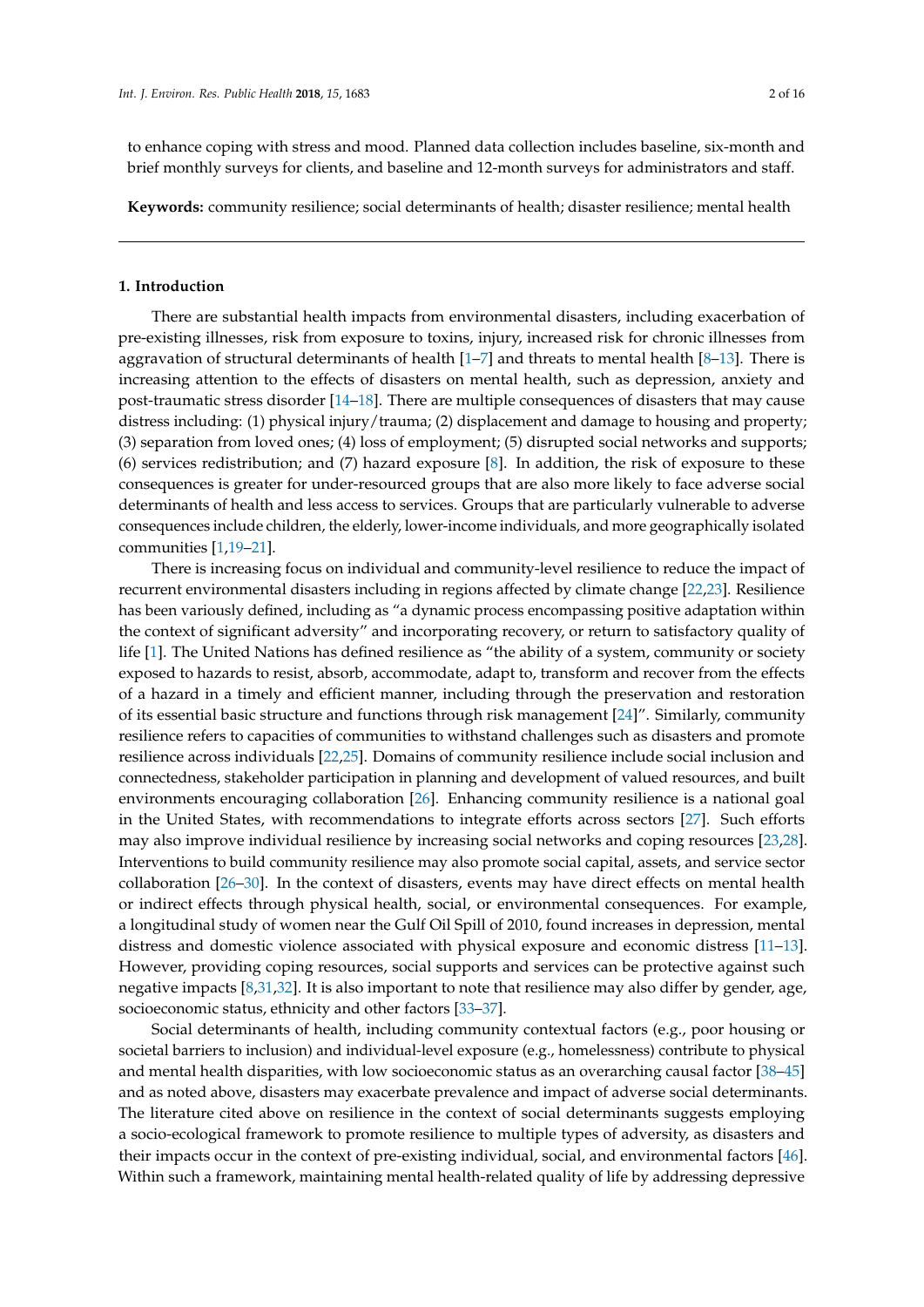to enhance coping with stress and mood. Planned data collection includes baseline, six-month and brief monthly surveys for clients, and baseline and 12-month surveys for administrators and staff.

**Keywords:** community resilience; social determinants of health; disaster resilience; mental health

#### **1. Introduction**

There are substantial health impacts from environmental disasters, including exacerbation of pre-existing illnesses, risk from exposure to toxins, injury, increased risk for chronic illnesses from aggravation of structural determinants of health  $[1-7]$  $[1-7]$  and threats to mental health  $[8-13]$  $[8-13]$ . There is increasing attention to the effects of disasters on mental health, such as depression, anxiety and post-traumatic stress disorder [\[14–](#page-11-4)[18\]](#page-12-0). There are multiple consequences of disasters that may cause distress including: (1) physical injury/trauma; (2) displacement and damage to housing and property; (3) separation from loved ones; (4) loss of employment; (5) disrupted social networks and supports; (6) services redistribution; and (7) hazard exposure [\[8\]](#page-11-2). In addition, the risk of exposure to these consequences is greater for under-resourced groups that are also more likely to face adverse social determinants of health and less access to services. Groups that are particularly vulnerable to adverse consequences include children, the elderly, lower-income individuals, and more geographically isolated communities [\[1,](#page-11-0)[19](#page-12-1)[–21\]](#page-12-2).

There is increasing focus on individual and community-level resilience to reduce the impact of recurrent environmental disasters including in regions affected by climate change [\[22](#page-12-3)[,23\]](#page-12-4). Resilience has been variously defined, including as "a dynamic process encompassing positive adaptation within the context of significant adversity" and incorporating recovery, or return to satisfactory quality of life [\[1\]](#page-11-0). The United Nations has defined resilience as "the ability of a system, community or society exposed to hazards to resist, absorb, accommodate, adapt to, transform and recover from the effects of a hazard in a timely and efficient manner, including through the preservation and restoration of its essential basic structure and functions through risk management [\[24\]](#page-12-5)". Similarly, community resilience refers to capacities of communities to withstand challenges such as disasters and promote resilience across individuals [\[22,](#page-12-3)[25\]](#page-12-6). Domains of community resilience include social inclusion and connectedness, stakeholder participation in planning and development of valued resources, and built environments encouraging collaboration [\[26\]](#page-12-7). Enhancing community resilience is a national goal in the United States, with recommendations to integrate efforts across sectors [\[27\]](#page-12-8). Such efforts may also improve individual resilience by increasing social networks and coping resources [\[23,](#page-12-4)[28\]](#page-12-9). Interventions to build community resilience may also promote social capital, assets, and service sector collaboration [\[26](#page-12-7)[–30\]](#page-12-10). In the context of disasters, events may have direct effects on mental health or indirect effects through physical health, social, or environmental consequences. For example, a longitudinal study of women near the Gulf Oil Spill of 2010, found increases in depression, mental distress and domestic violence associated with physical exposure and economic distress [\[11–](#page-11-5)[13\]](#page-11-3). However, providing coping resources, social supports and services can be protective against such negative impacts [\[8](#page-11-2)[,31,](#page-12-11)[32\]](#page-12-12). It is also important to note that resilience may also differ by gender, age, socioeconomic status, ethnicity and other factors [\[33–](#page-12-13)[37\]](#page-12-14).

Social determinants of health, including community contextual factors (e.g., poor housing or societal barriers to inclusion) and individual-level exposure (e.g., homelessness) contribute to physical and mental health disparities, with low socioeconomic status as an overarching causal factor [\[38](#page-12-15)[–45\]](#page-13-0) and as noted above, disasters may exacerbate prevalence and impact of adverse social determinants. The literature cited above on resilience in the context of social determinants suggests employing a socio-ecological framework to promote resilience to multiple types of adversity, as disasters and their impacts occur in the context of pre-existing individual, social, and environmental factors [\[46\]](#page-13-1). Within such a framework, maintaining mental health-related quality of life by addressing depressive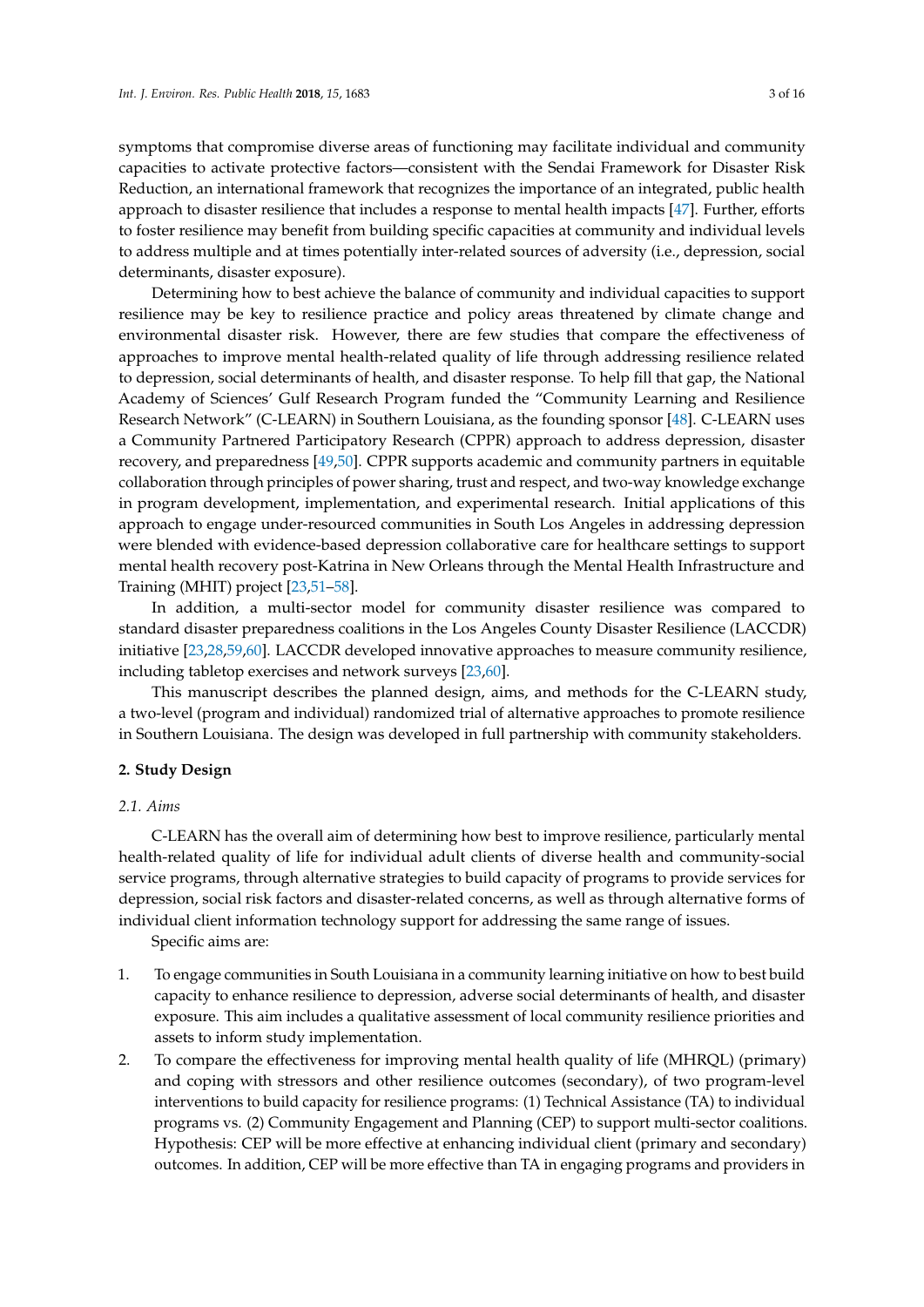symptoms that compromise diverse areas of functioning may facilitate individual and community capacities to activate protective factors—consistent with the Sendai Framework for Disaster Risk Reduction, an international framework that recognizes the importance of an integrated, public health approach to disaster resilience that includes a response to mental health impacts [\[47\]](#page-13-2). Further, efforts to foster resilience may benefit from building specific capacities at community and individual levels to address multiple and at times potentially inter-related sources of adversity (i.e., depression, social determinants, disaster exposure).

Determining how to best achieve the balance of community and individual capacities to support resilience may be key to resilience practice and policy areas threatened by climate change and environmental disaster risk. However, there are few studies that compare the effectiveness of approaches to improve mental health-related quality of life through addressing resilience related to depression, social determinants of health, and disaster response. To help fill that gap, the National Academy of Sciences' Gulf Research Program funded the "Community Learning and Resilience Research Network" (C-LEARN) in Southern Louisiana, as the founding sponsor [\[48\]](#page-13-3). C-LEARN uses a Community Partnered Participatory Research (CPPR) approach to address depression, disaster recovery, and preparedness [\[49,](#page-13-4)[50\]](#page-13-5). CPPR supports academic and community partners in equitable collaboration through principles of power sharing, trust and respect, and two-way knowledge exchange in program development, implementation, and experimental research. Initial applications of this approach to engage under-resourced communities in South Los Angeles in addressing depression were blended with evidence-based depression collaborative care for healthcare settings to support mental health recovery post-Katrina in New Orleans through the Mental Health Infrastructure and Training (MHIT) project [\[23](#page-12-4)[,51](#page-13-6)[–58\]](#page-13-7).

In addition, a multi-sector model for community disaster resilience was compared to standard disaster preparedness coalitions in the Los Angeles County Disaster Resilience (LACCDR) initiative [\[23](#page-12-4)[,28](#page-12-9)[,59,](#page-13-8)[60\]](#page-14-0). LACCDR developed innovative approaches to measure community resilience, including tabletop exercises and network surveys [\[23](#page-12-4)[,60\]](#page-14-0).

This manuscript describes the planned design, aims, and methods for the C-LEARN study, a two-level (program and individual) randomized trial of alternative approaches to promote resilience in Southern Louisiana. The design was developed in full partnership with community stakeholders.

#### **2. Study Design**

# *2.1. Aims*

C-LEARN has the overall aim of determining how best to improve resilience, particularly mental health-related quality of life for individual adult clients of diverse health and community-social service programs, through alternative strategies to build capacity of programs to provide services for depression, social risk factors and disaster-related concerns, as well as through alternative forms of individual client information technology support for addressing the same range of issues.

Specific aims are:

- 1. To engage communities in South Louisiana in a community learning initiative on how to best build capacity to enhance resilience to depression, adverse social determinants of health, and disaster exposure. This aim includes a qualitative assessment of local community resilience priorities and assets to inform study implementation.
- 2. To compare the effectiveness for improving mental health quality of life (MHRQL) (primary) and coping with stressors and other resilience outcomes (secondary), of two program-level interventions to build capacity for resilience programs: (1) Technical Assistance (TA) to individual programs vs. (2) Community Engagement and Planning (CEP) to support multi-sector coalitions. Hypothesis: CEP will be more effective at enhancing individual client (primary and secondary) outcomes. In addition, CEP will be more effective than TA in engaging programs and providers in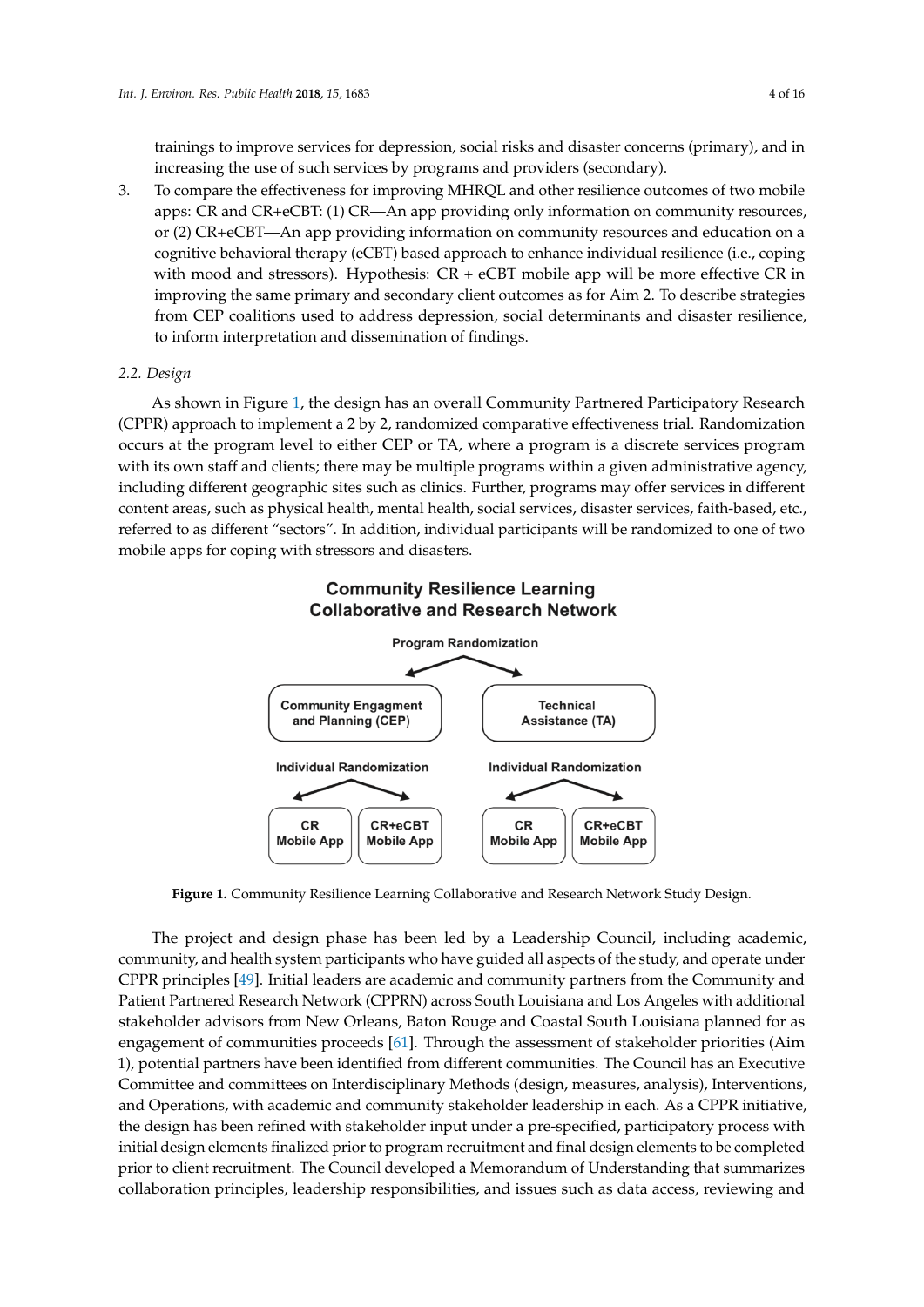trainings to improve services for depression, social risks and disaster concerns (primary), and in increasing the use of such services by programs and providers (secondary).

3. To compare the effectiveness for improving MHRQL and other resilience outcomes of two mobile apps: CR and CR+eCBT: (1) CR—An app providing only information on community resources, or (2) CR+eCBT—An app providing information on community resources and education on a cognitive behavioral therapy (eCBT) based approach to enhance individual resilience (i.e., coping with mood and stressors). Hypothesis:  $CR + eCBT$  mobile app will be more effective  $CR$  in improving the same primary and secondary client outcomes as for Aim 2. To describe strategies from CEP coalitions used to address depression, social determinants and disaster resilience, to inform interpretation and dissemination of findings.

# *2.2. Design*

As shown in Figure [1,](#page-3-0) the design has an overall Community Partnered Participatory Research (CPPR) approach to implement a 2 by 2, randomized comparative effectiveness trial. Randomization occurs at the program level to either CEP or TA, where a program is a discrete services program with its own staff and clients; there may be multiple programs within a given administrative agency, including different geographic sites such as clinics. Further, programs may offer services in different content areas, such as physical health, mental health, social services, disaster services, faith-based, etc., referred to as different "sectors". In addition, individual participants will be randomized to one of two mobile apps for coping with stressors and disasters.

<span id="page-3-0"></span>

# **Community Resilience Learning Collaborative and Research Network**

**Figure 1.** Community Resilience Learning Collaborative and Research Network Study Design.

The project and design phase has been led by a Leadership Council, including academic, community, and health system participants who have guided all aspects of the study, and operate under CPPR principles [\[49\]](#page-13-4). Initial leaders are academic and community partners from the Community and Patient Partnered Research Network (CPPRN) across South Louisiana and Los Angeles with additional stakeholder advisors from New Orleans, Baton Rouge and Coastal South Louisiana planned for as engagement of communities proceeds [\[61\]](#page-14-1). Through the assessment of stakeholder priorities (Aim 1), potential partners have been identified from different communities. The Council has an Executive Committee and committees on Interdisciplinary Methods (design, measures, analysis), Interventions, and Operations, with academic and community stakeholder leadership in each. As a CPPR initiative, the design has been refined with stakeholder input under a pre-specified, participatory process with initial design elements finalized prior to program recruitment and final design elements to be completed prior to client recruitment. The Council developed a Memorandum of Understanding that summarizes collaboration principles, leadership responsibilities, and issues such as data access, reviewing and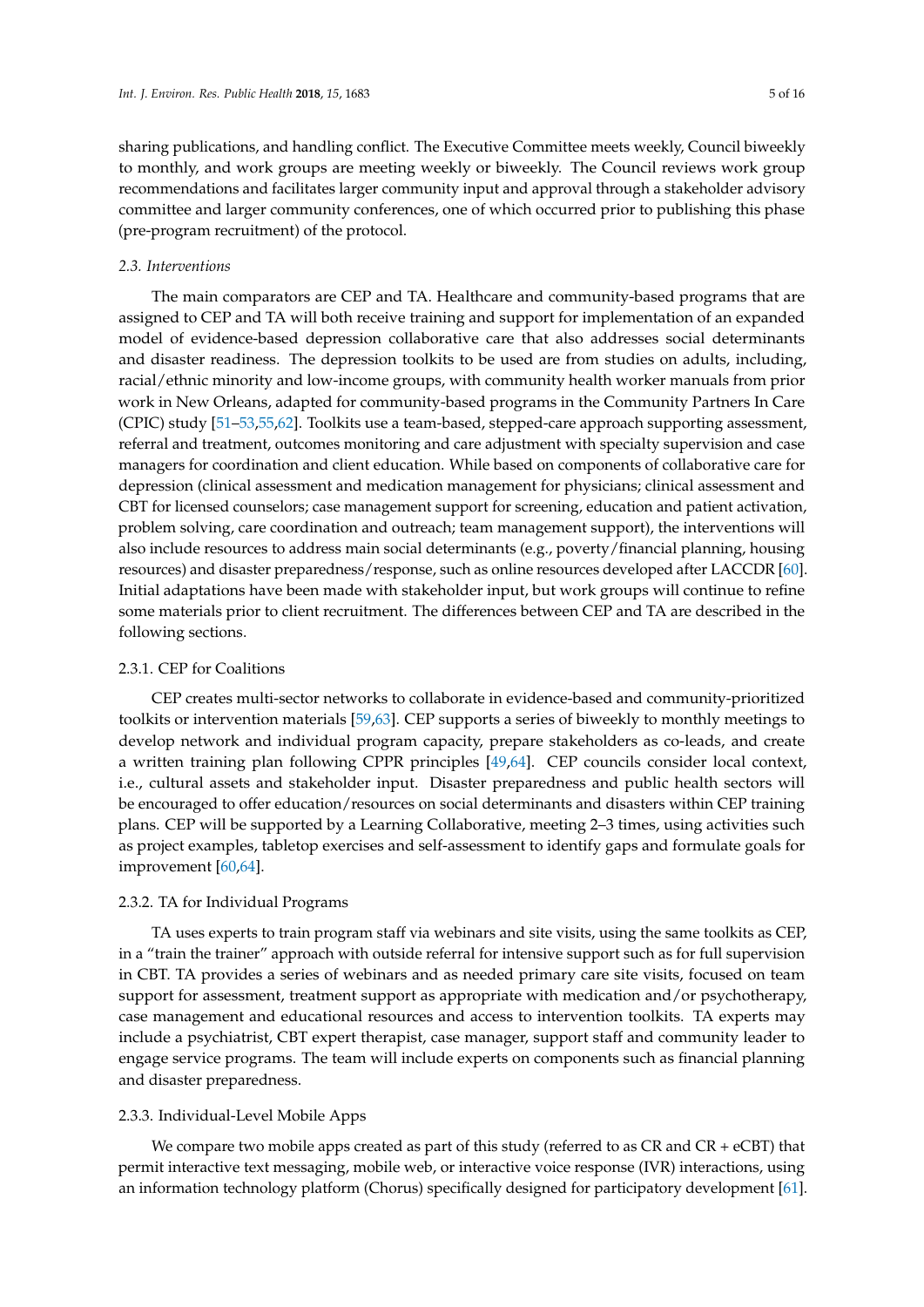sharing publications, and handling conflict. The Executive Committee meets weekly, Council biweekly to monthly, and work groups are meeting weekly or biweekly. The Council reviews work group recommendations and facilitates larger community input and approval through a stakeholder advisory committee and larger community conferences, one of which occurred prior to publishing this phase (pre-program recruitment) of the protocol.

# *2.3. Interventions*

The main comparators are CEP and TA. Healthcare and community-based programs that are assigned to CEP and TA will both receive training and support for implementation of an expanded model of evidence-based depression collaborative care that also addresses social determinants and disaster readiness. The depression toolkits to be used are from studies on adults, including, racial/ethnic minority and low-income groups, with community health worker manuals from prior work in New Orleans, adapted for community-based programs in the Community Partners In Care (CPIC) study [\[51](#page-13-6)[–53,](#page-13-9)[55,](#page-13-10)[62\]](#page-14-2). Toolkits use a team-based, stepped-care approach supporting assessment, referral and treatment, outcomes monitoring and care adjustment with specialty supervision and case managers for coordination and client education. While based on components of collaborative care for depression (clinical assessment and medication management for physicians; clinical assessment and CBT for licensed counselors; case management support for screening, education and patient activation, problem solving, care coordination and outreach; team management support), the interventions will also include resources to address main social determinants (e.g., poverty/financial planning, housing resources) and disaster preparedness/response, such as online resources developed after LACCDR [\[60\]](#page-14-0). Initial adaptations have been made with stakeholder input, but work groups will continue to refine some materials prior to client recruitment. The differences between CEP and TA are described in the following sections.

# 2.3.1. CEP for Coalitions

CEP creates multi-sector networks to collaborate in evidence-based and community-prioritized toolkits or intervention materials [\[59](#page-13-8)[,63\]](#page-14-3). CEP supports a series of biweekly to monthly meetings to develop network and individual program capacity, prepare stakeholders as co-leads, and create a written training plan following CPPR principles [\[49](#page-13-4)[,64\]](#page-14-4). CEP councils consider local context, i.e., cultural assets and stakeholder input. Disaster preparedness and public health sectors will be encouraged to offer education/resources on social determinants and disasters within CEP training plans. CEP will be supported by a Learning Collaborative, meeting 2–3 times, using activities such as project examples, tabletop exercises and self-assessment to identify gaps and formulate goals for improvement [\[60,](#page-14-0)[64\]](#page-14-4).

#### 2.3.2. TA for Individual Programs

TA uses experts to train program staff via webinars and site visits, using the same toolkits as CEP, in a "train the trainer" approach with outside referral for intensive support such as for full supervision in CBT. TA provides a series of webinars and as needed primary care site visits, focused on team support for assessment, treatment support as appropriate with medication and/or psychotherapy, case management and educational resources and access to intervention toolkits. TA experts may include a psychiatrist, CBT expert therapist, case manager, support staff and community leader to engage service programs. The team will include experts on components such as financial planning and disaster preparedness.

# 2.3.3. Individual-Level Mobile Apps

We compare two mobile apps created as part of this study (referred to as  $CR$  and  $CR + eCBT$ ) that permit interactive text messaging, mobile web, or interactive voice response (IVR) interactions, using an information technology platform (Chorus) specifically designed for participatory development [\[61\]](#page-14-1).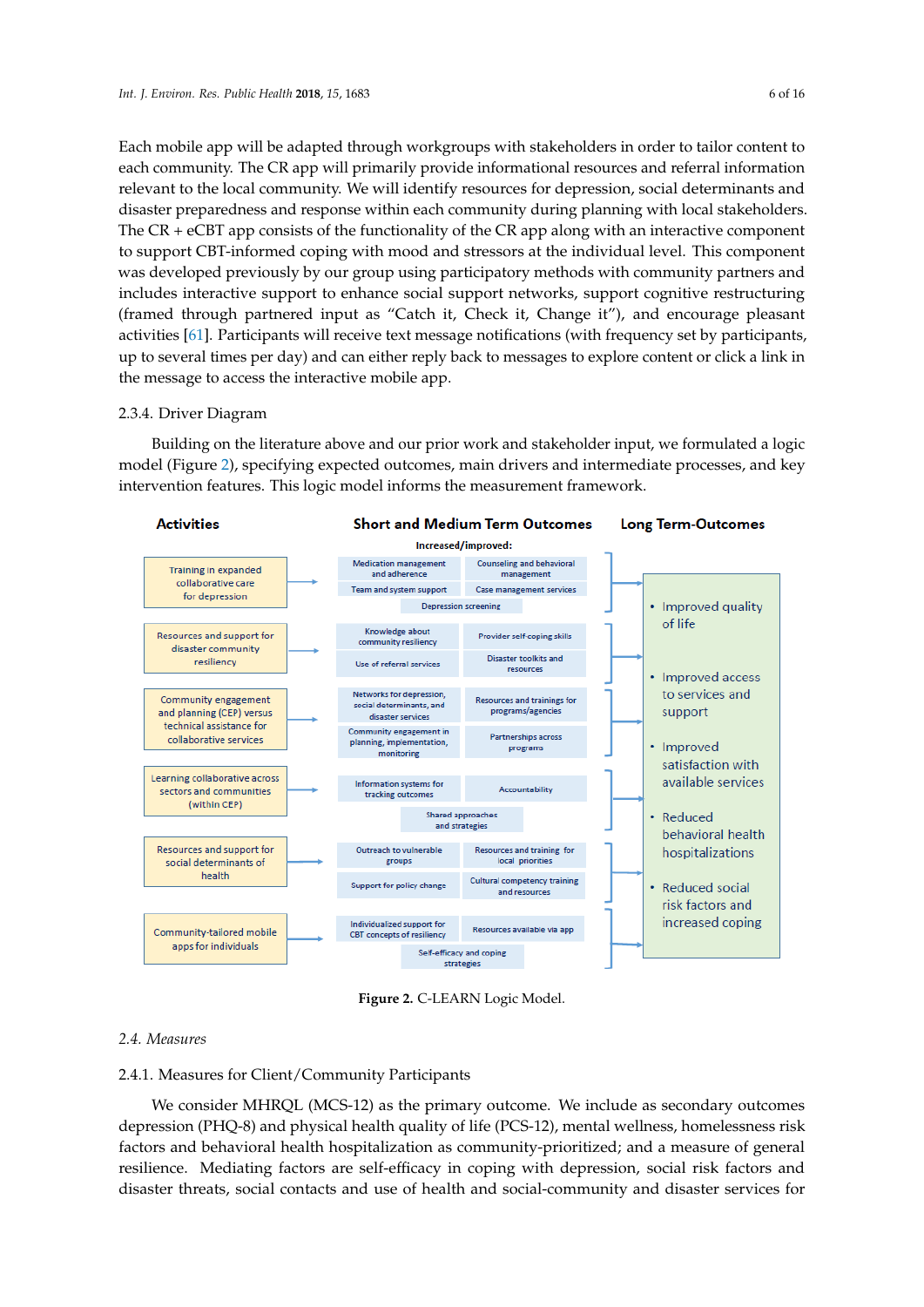Each mobile app will be adapted through workgroups with stakeholders in order to tailor content to each community. The CR app will primarily provide informational resources and referral information relevant to the local community. We will identify resources for depression, social determinants and disaster preparedness and response within each community during planning with local stakeholders. The CR + eCBT app consists of the functionality of the CR app along with an interactive component to support CBT-informed coping with mood and stressors at the individual level. This component was developed previously by our group using participatory methods with community partners and includes interactive support to enhance social support networks, support cognitive restructuring (framed through partnered input as "Catch it, Check it, Change it"), and encourage pleasant activities [\[61\]](#page-14-1). Participants will receive text message notifications (with frequency set by participants, up to several times per day) and can either reply back to messages to explore content or click a link in the message to access the interactive mobile app.

#### 2.3.4. Driver Diagram

Building on the literature above and our prior work and stakeholder input, we formulated a logic model (Figure [2\)](#page-5-0), specifying expected outcomes, main drivers and intermediate processes, and key intervention features. This logic model informs the measurement framework.

<span id="page-5-0"></span>

**Figure 2.** C-LEARN Logic Model.

#### *2.4. Measures*

# 2.4.1. Measures for Client/Community Participants

We consider MHRQL (MCS-12) as the primary outcome. We include as secondary outcomes depression (PHQ-8) and physical health quality of life (PCS-12), mental wellness, homelessness risk factors and behavioral health hospitalization as community-prioritized; and a measure of general resilience. Mediating factors are self-efficacy in coping with depression, social risk factors and disaster threats, social contacts and use of health and social-community and disaster services for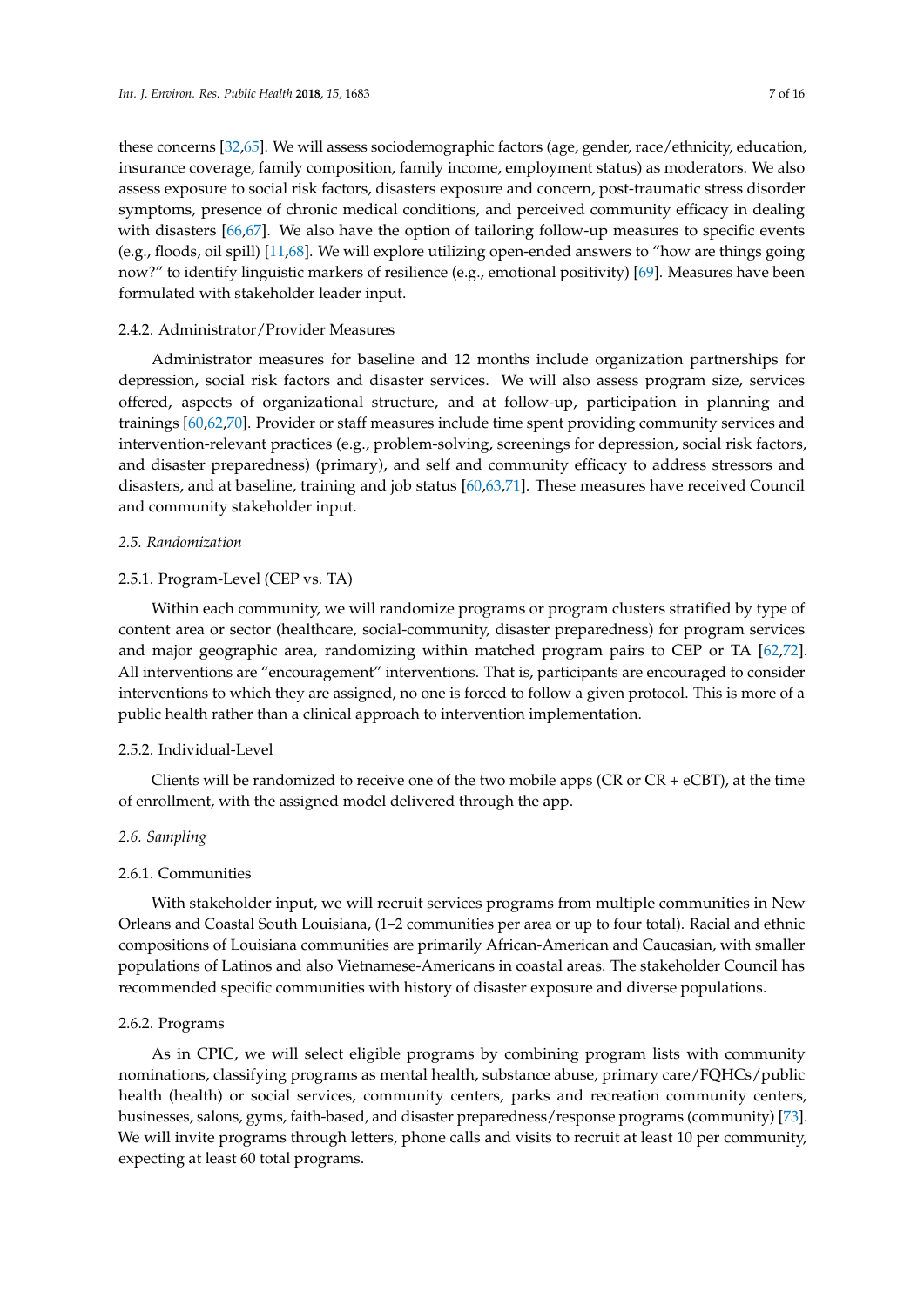these concerns [\[32,](#page-12-12)[65\]](#page-14-5). We will assess sociodemographic factors (age, gender, race/ethnicity, education, insurance coverage, family composition, family income, employment status) as moderators. We also assess exposure to social risk factors, disasters exposure and concern, post-traumatic stress disorder symptoms, presence of chronic medical conditions, and perceived community efficacy in dealing with disasters [\[66,](#page-14-6)[67\]](#page-14-7). We also have the option of tailoring follow-up measures to specific events (e.g., floods, oil spill) [\[11,](#page-11-5)[68\]](#page-14-8). We will explore utilizing open-ended answers to "how are things going now?" to identify linguistic markers of resilience (e.g., emotional positivity) [\[69\]](#page-14-9). Measures have been formulated with stakeholder leader input.

#### 2.4.2. Administrator/Provider Measures

Administrator measures for baseline and 12 months include organization partnerships for depression, social risk factors and disaster services. We will also assess program size, services offered, aspects of organizational structure, and at follow-up, participation in planning and trainings [\[60,](#page-14-0)[62,](#page-14-2)[70\]](#page-14-10). Provider or staff measures include time spent providing community services and intervention-relevant practices (e.g., problem-solving, screenings for depression, social risk factors, and disaster preparedness) (primary), and self and community efficacy to address stressors and disasters, and at baseline, training and job status [\[60,](#page-14-0)[63,](#page-14-3)[71\]](#page-14-11). These measures have received Council and community stakeholder input.

#### *2.5. Randomization*

# 2.5.1. Program-Level (CEP vs. TA)

Within each community, we will randomize programs or program clusters stratified by type of content area or sector (healthcare, social-community, disaster preparedness) for program services and major geographic area, randomizing within matched program pairs to CEP or TA [\[62,](#page-14-2)[72\]](#page-14-12). All interventions are "encouragement" interventions. That is, participants are encouraged to consider interventions to which they are assigned, no one is forced to follow a given protocol. This is more of a public health rather than a clinical approach to intervention implementation.

#### 2.5.2. Individual-Level

Clients will be randomized to receive one of the two mobile apps (CR or  $CR + eCBT$ ), at the time of enrollment, with the assigned model delivered through the app.

#### *2.6. Sampling*

#### 2.6.1. Communities

With stakeholder input, we will recruit services programs from multiple communities in New Orleans and Coastal South Louisiana, (1–2 communities per area or up to four total). Racial and ethnic compositions of Louisiana communities are primarily African-American and Caucasian, with smaller populations of Latinos and also Vietnamese-Americans in coastal areas. The stakeholder Council has recommended specific communities with history of disaster exposure and diverse populations.

#### 2.6.2. Programs

As in CPIC, we will select eligible programs by combining program lists with community nominations, classifying programs as mental health, substance abuse, primary care/FQHCs/public health (health) or social services, community centers, parks and recreation community centers, businesses, salons, gyms, faith-based, and disaster preparedness/response programs (community) [\[73\]](#page-14-13). We will invite programs through letters, phone calls and visits to recruit at least 10 per community, expecting at least 60 total programs.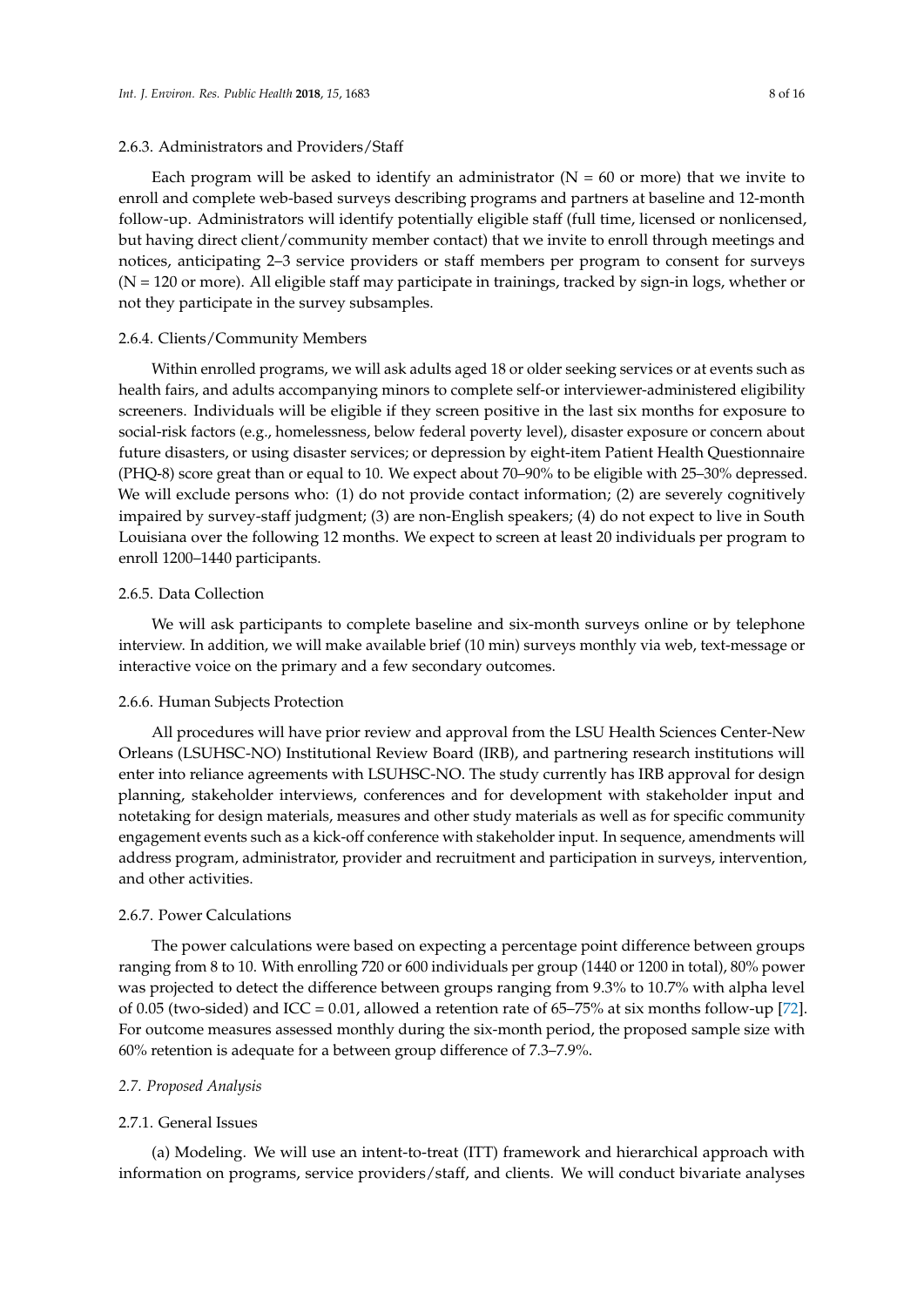#### 2.6.3. Administrators and Providers/Staff

Each program will be asked to identify an administrator ( $N = 60$  or more) that we invite to enroll and complete web-based surveys describing programs and partners at baseline and 12-month follow-up. Administrators will identify potentially eligible staff (full time, licensed or nonlicensed, but having direct client/community member contact) that we invite to enroll through meetings and notices, anticipating 2–3 service providers or staff members per program to consent for surveys  $(N = 120$  or more). All eligible staff may participate in trainings, tracked by sign-in logs, whether or not they participate in the survey subsamples.

#### 2.6.4. Clients/Community Members

Within enrolled programs, we will ask adults aged 18 or older seeking services or at events such as health fairs, and adults accompanying minors to complete self-or interviewer-administered eligibility screeners. Individuals will be eligible if they screen positive in the last six months for exposure to social-risk factors (e.g., homelessness, below federal poverty level), disaster exposure or concern about future disasters, or using disaster services; or depression by eight-item Patient Health Questionnaire (PHQ-8) score great than or equal to 10. We expect about 70–90% to be eligible with 25–30% depressed. We will exclude persons who: (1) do not provide contact information; (2) are severely cognitively impaired by survey-staff judgment; (3) are non-English speakers; (4) do not expect to live in South Louisiana over the following 12 months. We expect to screen at least 20 individuals per program to enroll 1200–1440 participants.

#### 2.6.5. Data Collection

We will ask participants to complete baseline and six-month surveys online or by telephone interview. In addition, we will make available brief (10 min) surveys monthly via web, text-message or interactive voice on the primary and a few secondary outcomes.

#### 2.6.6. Human Subjects Protection

All procedures will have prior review and approval from the LSU Health Sciences Center-New Orleans (LSUHSC-NO) Institutional Review Board (IRB), and partnering research institutions will enter into reliance agreements with LSUHSC-NO. The study currently has IRB approval for design planning, stakeholder interviews, conferences and for development with stakeholder input and notetaking for design materials, measures and other study materials as well as for specific community engagement events such as a kick-off conference with stakeholder input. In sequence, amendments will address program, administrator, provider and recruitment and participation in surveys, intervention, and other activities.

#### 2.6.7. Power Calculations

The power calculations were based on expecting a percentage point difference between groups ranging from 8 to 10. With enrolling 720 or 600 individuals per group (1440 or 1200 in total), 80% power was projected to detect the difference between groups ranging from 9.3% to 10.7% with alpha level of 0.05 (two-sided) and ICC = 0.01, allowed a retention rate of 65–75% at six months follow-up [\[72\]](#page-14-12). For outcome measures assessed monthly during the six-month period, the proposed sample size with 60% retention is adequate for a between group difference of 7.3–7.9%.

#### *2.7. Proposed Analysis*

#### 2.7.1. General Issues

(a) Modeling. We will use an intent-to-treat (ITT) framework and hierarchical approach with information on programs, service providers/staff, and clients. We will conduct bivariate analyses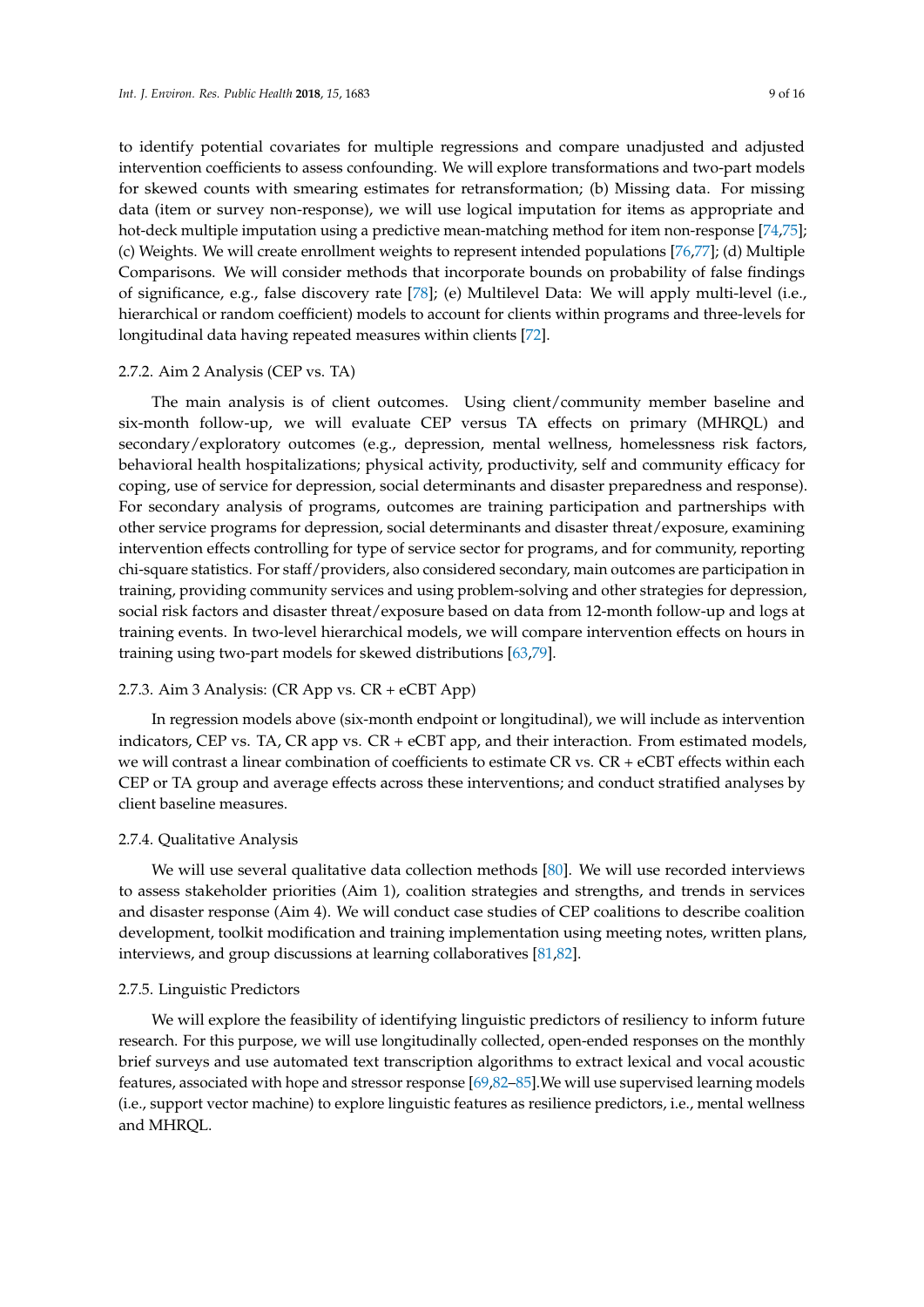to identify potential covariates for multiple regressions and compare unadjusted and adjusted intervention coefficients to assess confounding. We will explore transformations and two-part models for skewed counts with smearing estimates for retransformation; (b) Missing data. For missing data (item or survey non-response), we will use logical imputation for items as appropriate and hot-deck multiple imputation using a predictive mean-matching method for item non-response [\[74](#page-14-14)[,75\]](#page-14-15); (c) Weights. We will create enrollment weights to represent intended populations [\[76,](#page-14-16)[77\]](#page-14-17); (d) Multiple Comparisons. We will consider methods that incorporate bounds on probability of false findings of significance, e.g., false discovery rate [\[78\]](#page-14-18); (e) Multilevel Data: We will apply multi-level (i.e., hierarchical or random coefficient) models to account for clients within programs and three-levels for longitudinal data having repeated measures within clients [\[72\]](#page-14-12).

#### 2.7.2. Aim 2 Analysis (CEP vs. TA)

The main analysis is of client outcomes. Using client/community member baseline and six-month follow-up, we will evaluate CEP versus TA effects on primary (MHRQL) and secondary/exploratory outcomes (e.g., depression, mental wellness, homelessness risk factors, behavioral health hospitalizations; physical activity, productivity, self and community efficacy for coping, use of service for depression, social determinants and disaster preparedness and response). For secondary analysis of programs, outcomes are training participation and partnerships with other service programs for depression, social determinants and disaster threat/exposure, examining intervention effects controlling for type of service sector for programs, and for community, reporting chi-square statistics. For staff/providers, also considered secondary, main outcomes are participation in training, providing community services and using problem-solving and other strategies for depression, social risk factors and disaster threat/exposure based on data from 12-month follow-up and logs at training events. In two-level hierarchical models, we will compare intervention effects on hours in training using two-part models for skewed distributions [\[63](#page-14-3)[,79\]](#page-14-19).

#### 2.7.3. Aim 3 Analysis: (CR App vs. CR + eCBT App)

In regression models above (six-month endpoint or longitudinal), we will include as intervention indicators, CEP vs. TA, CR app vs. CR + eCBT app, and their interaction. From estimated models, we will contrast a linear combination of coefficients to estimate CR vs.  $CR + eCBT$  effects within each CEP or TA group and average effects across these interventions; and conduct stratified analyses by client baseline measures.

#### 2.7.4. Qualitative Analysis

We will use several qualitative data collection methods [\[80\]](#page-14-20). We will use recorded interviews to assess stakeholder priorities (Aim 1), coalition strategies and strengths, and trends in services and disaster response (Aim 4). We will conduct case studies of CEP coalitions to describe coalition development, toolkit modification and training implementation using meeting notes, written plans, interviews, and group discussions at learning collaboratives [\[81](#page-14-21)[,82\]](#page-14-22).

#### 2.7.5. Linguistic Predictors

We will explore the feasibility of identifying linguistic predictors of resiliency to inform future research. For this purpose, we will use longitudinally collected, open-ended responses on the monthly brief surveys and use automated text transcription algorithms to extract lexical and vocal acoustic features, associated with hope and stressor response [\[69,](#page-14-9)[82](#page-14-22)[–85\]](#page-15-0).We will use supervised learning models (i.e., support vector machine) to explore linguistic features as resilience predictors, i.e., mental wellness and MHRQL.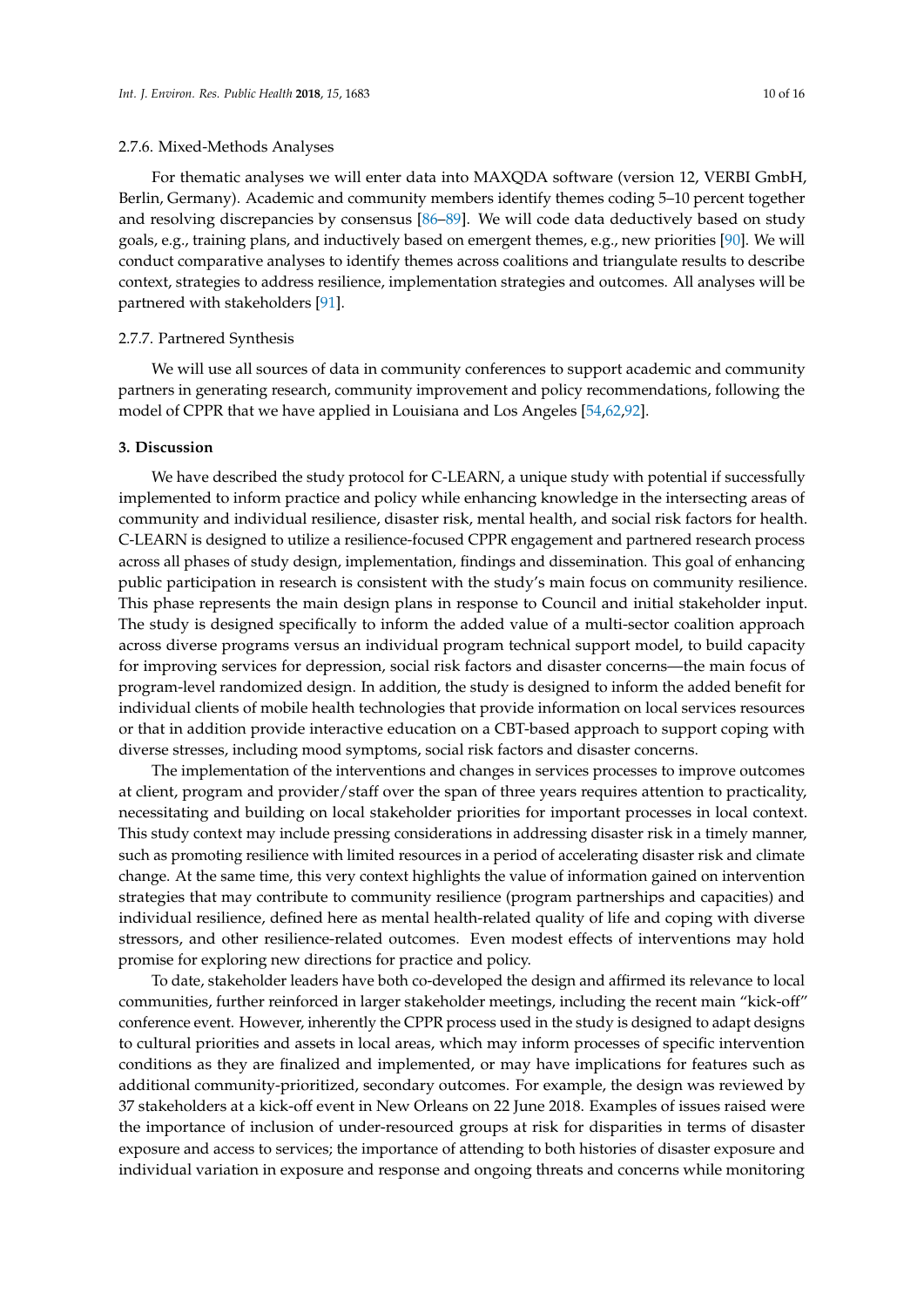For thematic analyses we will enter data into MAXQDA software (version 12, VERBI GmbH, Berlin, Germany). Academic and community members identify themes coding 5–10 percent together and resolving discrepancies by consensus [\[86](#page-15-1)[–89\]](#page-15-2). We will code data deductively based on study goals, e.g., training plans, and inductively based on emergent themes, e.g., new priorities [\[90\]](#page-15-3). We will conduct comparative analyses to identify themes across coalitions and triangulate results to describe context, strategies to address resilience, implementation strategies and outcomes. All analyses will be partnered with stakeholders [\[91\]](#page-15-4).

#### 2.7.7. Partnered Synthesis

We will use all sources of data in community conferences to support academic and community partners in generating research, community improvement and policy recommendations, following the model of CPPR that we have applied in Louisiana and Los Angeles [\[54,](#page-13-11)[62,](#page-14-2)[92\]](#page-15-5).

#### **3. Discussion**

We have described the study protocol for C-LEARN, a unique study with potential if successfully implemented to inform practice and policy while enhancing knowledge in the intersecting areas of community and individual resilience, disaster risk, mental health, and social risk factors for health. C-LEARN is designed to utilize a resilience-focused CPPR engagement and partnered research process across all phases of study design, implementation, findings and dissemination. This goal of enhancing public participation in research is consistent with the study's main focus on community resilience. This phase represents the main design plans in response to Council and initial stakeholder input. The study is designed specifically to inform the added value of a multi-sector coalition approach across diverse programs versus an individual program technical support model, to build capacity for improving services for depression, social risk factors and disaster concerns—the main focus of program-level randomized design. In addition, the study is designed to inform the added benefit for individual clients of mobile health technologies that provide information on local services resources or that in addition provide interactive education on a CBT-based approach to support coping with diverse stresses, including mood symptoms, social risk factors and disaster concerns.

The implementation of the interventions and changes in services processes to improve outcomes at client, program and provider/staff over the span of three years requires attention to practicality, necessitating and building on local stakeholder priorities for important processes in local context. This study context may include pressing considerations in addressing disaster risk in a timely manner, such as promoting resilience with limited resources in a period of accelerating disaster risk and climate change. At the same time, this very context highlights the value of information gained on intervention strategies that may contribute to community resilience (program partnerships and capacities) and individual resilience, defined here as mental health-related quality of life and coping with diverse stressors, and other resilience-related outcomes. Even modest effects of interventions may hold promise for exploring new directions for practice and policy.

To date, stakeholder leaders have both co-developed the design and affirmed its relevance to local communities, further reinforced in larger stakeholder meetings, including the recent main "kick-off" conference event. However, inherently the CPPR process used in the study is designed to adapt designs to cultural priorities and assets in local areas, which may inform processes of specific intervention conditions as they are finalized and implemented, or may have implications for features such as additional community-prioritized, secondary outcomes. For example, the design was reviewed by 37 stakeholders at a kick-off event in New Orleans on 22 June 2018. Examples of issues raised were the importance of inclusion of under-resourced groups at risk for disparities in terms of disaster exposure and access to services; the importance of attending to both histories of disaster exposure and individual variation in exposure and response and ongoing threats and concerns while monitoring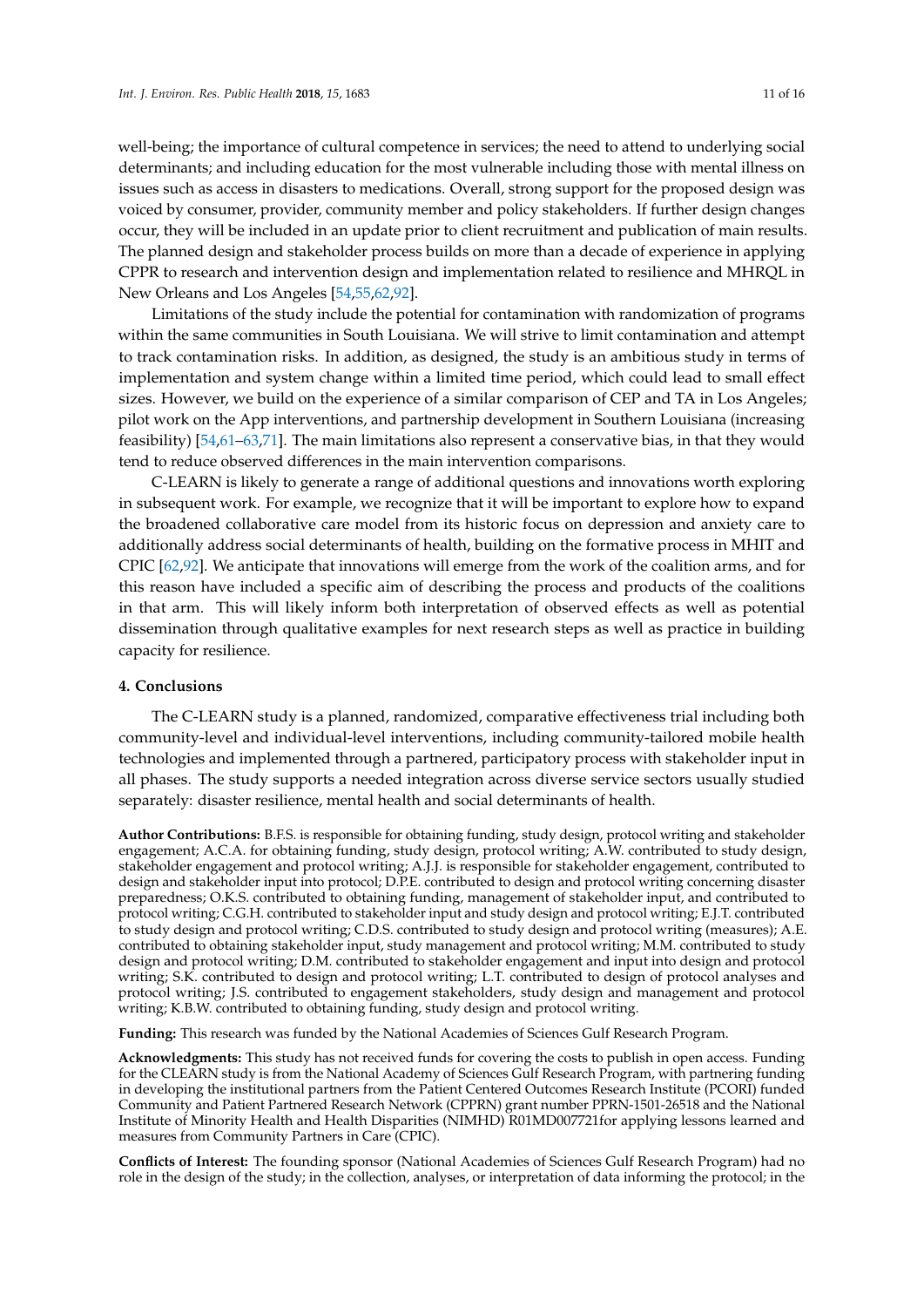well-being; the importance of cultural competence in services; the need to attend to underlying social determinants; and including education for the most vulnerable including those with mental illness on issues such as access in disasters to medications. Overall, strong support for the proposed design was voiced by consumer, provider, community member and policy stakeholders. If further design changes occur, they will be included in an update prior to client recruitment and publication of main results. The planned design and stakeholder process builds on more than a decade of experience in applying CPPR to research and intervention design and implementation related to resilience and MHRQL in New Orleans and Los Angeles [\[54](#page-13-11)[,55](#page-13-10)[,62](#page-14-2)[,92\]](#page-15-5).

Limitations of the study include the potential for contamination with randomization of programs within the same communities in South Louisiana. We will strive to limit contamination and attempt to track contamination risks. In addition, as designed, the study is an ambitious study in terms of implementation and system change within a limited time period, which could lead to small effect sizes. However, we build on the experience of a similar comparison of CEP and TA in Los Angeles; pilot work on the App interventions, and partnership development in Southern Louisiana (increasing feasibility) [\[54](#page-13-11)[,61–](#page-14-1)[63](#page-14-3)[,71\]](#page-14-11). The main limitations also represent a conservative bias, in that they would tend to reduce observed differences in the main intervention comparisons.

C-LEARN is likely to generate a range of additional questions and innovations worth exploring in subsequent work. For example, we recognize that it will be important to explore how to expand the broadened collaborative care model from its historic focus on depression and anxiety care to additionally address social determinants of health, building on the formative process in MHIT and CPIC [\[62,](#page-14-2)[92\]](#page-15-5). We anticipate that innovations will emerge from the work of the coalition arms, and for this reason have included a specific aim of describing the process and products of the coalitions in that arm. This will likely inform both interpretation of observed effects as well as potential dissemination through qualitative examples for next research steps as well as practice in building capacity for resilience.

#### **4. Conclusions**

The C-LEARN study is a planned, randomized, comparative effectiveness trial including both community-level and individual-level interventions, including community-tailored mobile health technologies and implemented through a partnered, participatory process with stakeholder input in all phases. The study supports a needed integration across diverse service sectors usually studied separately: disaster resilience, mental health and social determinants of health.

**Author Contributions:** B.F.S. is responsible for obtaining funding, study design, protocol writing and stakeholder engagement; A.C.A. for obtaining funding, study design, protocol writing; A.W. contributed to study design, stakeholder engagement and protocol writing; A.J.J. is responsible for stakeholder engagement, contributed to design and stakeholder input into protocol; D.P.E. contributed to design and protocol writing concerning disaster preparedness; O.K.S. contributed to obtaining funding, management of stakeholder input, and contributed to protocol writing; C.G.H. contributed to stakeholder input and study design and protocol writing; E.J.T. contributed to study design and protocol writing; C.D.S. contributed to study design and protocol writing (measures); A.E. contributed to obtaining stakeholder input, study management and protocol writing; M.M. contributed to study design and protocol writing; D.M. contributed to stakeholder engagement and input into design and protocol writing; S.K. contributed to design and protocol writing; L.T. contributed to design of protocol analyses and protocol writing; J.S. contributed to engagement stakeholders, study design and management and protocol writing; K.B.W. contributed to obtaining funding, study design and protocol writing.

**Funding:** This research was funded by the National Academies of Sciences Gulf Research Program.

**Acknowledgments:** This study has not received funds for covering the costs to publish in open access. Funding for the CLEARN study is from the National Academy of Sciences Gulf Research Program, with partnering funding in developing the institutional partners from the Patient Centered Outcomes Research Institute (PCORI) funded Community and Patient Partnered Research Network (CPPRN) grant number PPRN-1501-26518 and the National Institute of Minority Health and Health Disparities (NIMHD) R01MD007721for applying lessons learned and measures from Community Partners in Care (CPIC).

**Conflicts of Interest:** The founding sponsor (National Academies of Sciences Gulf Research Program) had no role in the design of the study; in the collection, analyses, or interpretation of data informing the protocol; in the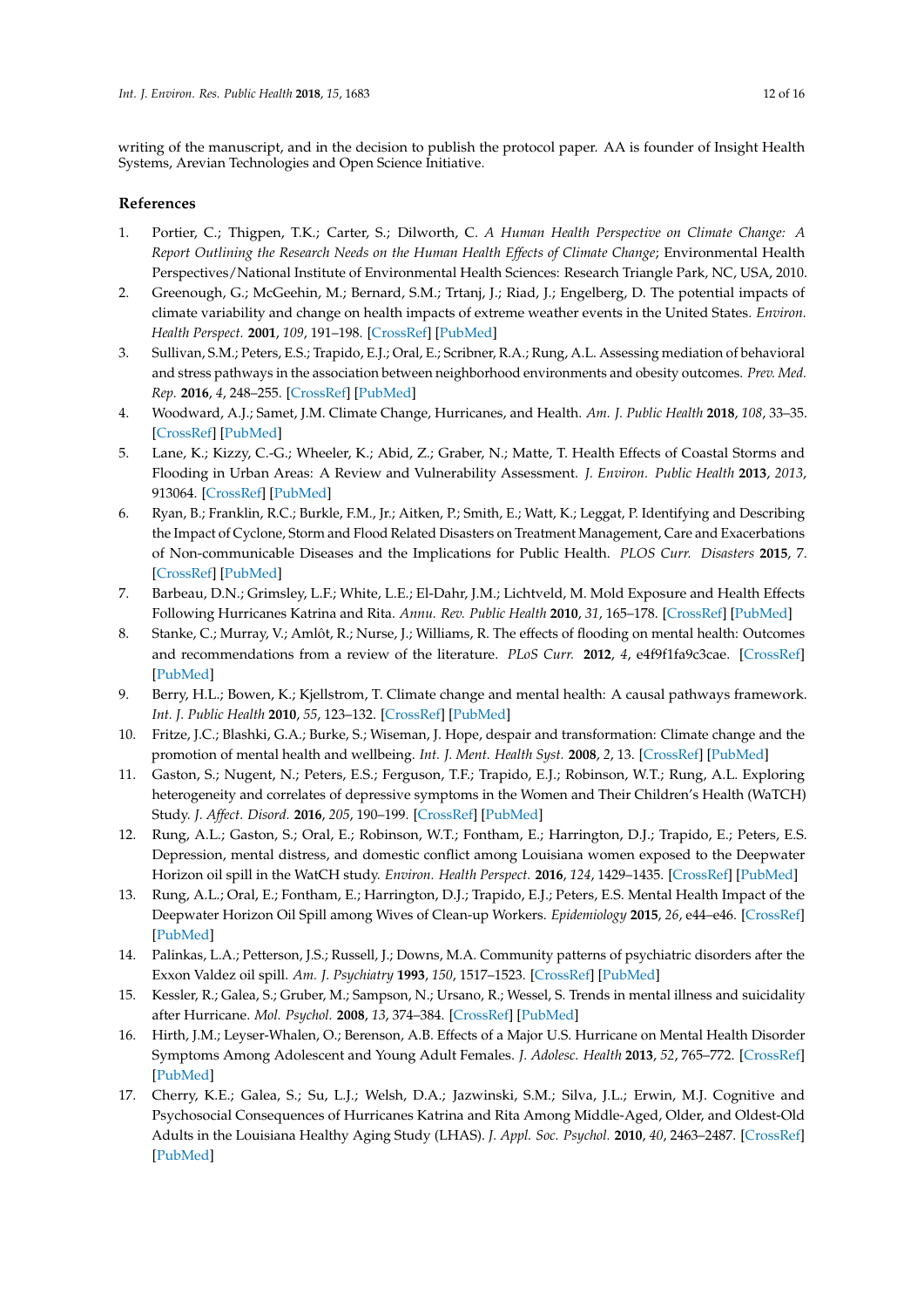writing of the manuscript, and in the decision to publish the protocol paper. AA is founder of Insight Health Systems, Arevian Technologies and Open Science Initiative.

# **References**

- <span id="page-11-0"></span>1. Portier, C.; Thigpen, T.K.; Carter, S.; Dilworth, C. *A Human Health Perspective on Climate Change: A Report Outlining the Research Needs on the Human Health Effects of Climate Change*; Environmental Health Perspectives/National Institute of Environmental Health Sciences: Research Triangle Park, NC, USA, 2010.
- 2. Greenough, G.; McGeehin, M.; Bernard, S.M.; Trtanj, J.; Riad, J.; Engelberg, D. The potential impacts of climate variability and change on health impacts of extreme weather events in the United States. *Environ. Health Perspect.* **2001**, *109*, 191–198. [\[CrossRef\]](http://dx.doi.org/10.2307/3435009) [\[PubMed\]](http://www.ncbi.nlm.nih.gov/pubmed/11359686)
- 3. Sullivan, S.M.; Peters, E.S.; Trapido, E.J.; Oral, E.; Scribner, R.A.; Rung, A.L. Assessing mediation of behavioral and stress pathways in the association between neighborhood environments and obesity outcomes. *Prev. Med. Rep.* **2016**, *4*, 248–255. [\[CrossRef\]](http://dx.doi.org/10.1016/j.pmedr.2016.06.012) [\[PubMed\]](http://www.ncbi.nlm.nih.gov/pubmed/27635379)
- 4. Woodward, A.J.; Samet, J.M. Climate Change, Hurricanes, and Health. *Am. J. Public Health* **2018**, *108*, 33–35. [\[CrossRef\]](http://dx.doi.org/10.2105/AJPH.2017.304197) [\[PubMed\]](http://www.ncbi.nlm.nih.gov/pubmed/29211542)
- 5. Lane, K.; Kizzy, C.-G.; Wheeler, K.; Abid, Z.; Graber, N.; Matte, T. Health Effects of Coastal Storms and Flooding in Urban Areas: A Review and Vulnerability Assessment. *J. Environ. Public Health* **2013**, *2013*, 913064. [\[CrossRef\]](http://dx.doi.org/10.1155/2013/913064) [\[PubMed\]](http://www.ncbi.nlm.nih.gov/pubmed/23818911)
- 6. Ryan, B.; Franklin, R.C.; Burkle, F.M., Jr.; Aitken, P.; Smith, E.; Watt, K.; Leggat, P. Identifying and Describing the Impact of Cyclone, Storm and Flood Related Disasters on Treatment Management, Care and Exacerbations of Non-communicable Diseases and the Implications for Public Health. *PLOS Curr. Disasters* **2015**, 7. [\[CrossRef\]](http://dx.doi.org/10.1371/currents.dis.62e9286d152de04799644dcca47d9288) [\[PubMed\]](http://www.ncbi.nlm.nih.gov/pubmed/26468423)
- <span id="page-11-1"></span>7. Barbeau, D.N.; Grimsley, L.F.; White, L.E.; El-Dahr, J.M.; Lichtveld, M. Mold Exposure and Health Effects Following Hurricanes Katrina and Rita. *Annu. Rev. Public Health* **2010**, *31*, 165–178. [\[CrossRef\]](http://dx.doi.org/10.1146/annurev.publhealth.012809.103643) [\[PubMed\]](http://www.ncbi.nlm.nih.gov/pubmed/20070193)
- <span id="page-11-2"></span>8. Stanke, C.; Murray, V.; Amlôt, R.; Nurse, J.; Williams, R. The effects of flooding on mental health: Outcomes and recommendations from a review of the literature. *PLoS Curr.* **2012**, *4*, e4f9f1fa9c3cae. [\[CrossRef\]](http://dx.doi.org/10.1371/4f9f1fa9c3cae) [\[PubMed\]](http://www.ncbi.nlm.nih.gov/pubmed/23066515)
- 9. Berry, H.L.; Bowen, K.; Kjellstrom, T. Climate change and mental health: A causal pathways framework. *Int. J. Public Health* **2010**, *55*, 123–132. [\[CrossRef\]](http://dx.doi.org/10.1007/s00038-009-0112-0) [\[PubMed\]](http://www.ncbi.nlm.nih.gov/pubmed/20033251)
- 10. Fritze, J.C.; Blashki, G.A.; Burke, S.; Wiseman, J. Hope, despair and transformation: Climate change and the promotion of mental health and wellbeing. *Int. J. Ment. Health Syst.* **2008**, *2*, 13. [\[CrossRef\]](http://dx.doi.org/10.1186/1752-4458-2-13) [\[PubMed\]](http://www.ncbi.nlm.nih.gov/pubmed/18799005)
- <span id="page-11-5"></span>11. Gaston, S.; Nugent, N.; Peters, E.S.; Ferguson, T.F.; Trapido, E.J.; Robinson, W.T.; Rung, A.L. Exploring heterogeneity and correlates of depressive symptoms in the Women and Their Children's Health (WaTCH) Study. *J. Affect. Disord.* **2016**, *205*, 190–199. [\[CrossRef\]](http://dx.doi.org/10.1016/j.jad.2016.03.067) [\[PubMed\]](http://www.ncbi.nlm.nih.gov/pubmed/27449551)
- 12. Rung, A.L.; Gaston, S.; Oral, E.; Robinson, W.T.; Fontham, E.; Harrington, D.J.; Trapido, E.; Peters, E.S. Depression, mental distress, and domestic conflict among Louisiana women exposed to the Deepwater Horizon oil spill in the WatCH study. *Environ. Health Perspect.* **2016**, *124*, 1429–1435. [\[CrossRef\]](http://dx.doi.org/10.1289/EHP167) [\[PubMed\]](http://www.ncbi.nlm.nih.gov/pubmed/27164620)
- <span id="page-11-3"></span>13. Rung, A.L.; Oral, E.; Fontham, E.; Harrington, D.J.; Trapido, E.J.; Peters, E.S. Mental Health Impact of the Deepwater Horizon Oil Spill among Wives of Clean-up Workers. *Epidemiology* **2015**, *26*, e44–e46. [\[CrossRef\]](http://dx.doi.org/10.1097/EDE.0000000000000303) [\[PubMed\]](http://www.ncbi.nlm.nih.gov/pubmed/25924110)
- <span id="page-11-4"></span>14. Palinkas, L.A.; Petterson, J.S.; Russell, J.; Downs, M.A. Community patterns of psychiatric disorders after the Exxon Valdez oil spill. *Am. J. Psychiatry* **1993**, *150*, 1517–1523. [\[CrossRef\]](http://dx.doi.org/10.1176/ajp.150.10.1517) [\[PubMed\]](http://www.ncbi.nlm.nih.gov/pubmed/8379557)
- 15. Kessler, R.; Galea, S.; Gruber, M.; Sampson, N.; Ursano, R.; Wessel, S. Trends in mental illness and suicidality after Hurricane. *Mol. Psychol.* **2008**, *13*, 374–384. [\[CrossRef\]](http://dx.doi.org/10.1038/sj.mp.4002119) [\[PubMed\]](http://www.ncbi.nlm.nih.gov/pubmed/18180768)
- 16. Hirth, J.M.; Leyser-Whalen, O.; Berenson, A.B. Effects of a Major U.S. Hurricane on Mental Health Disorder Symptoms Among Adolescent and Young Adult Females. *J. Adolesc. Health* **2013**, *52*, 765–772. [\[CrossRef\]](http://dx.doi.org/10.1016/j.jadohealth.2012.12.013) [\[PubMed\]](http://www.ncbi.nlm.nih.gov/pubmed/23562221)
- 17. Cherry, K.E.; Galea, S.; Su, L.J.; Welsh, D.A.; Jazwinski, S.M.; Silva, J.L.; Erwin, M.J. Cognitive and Psychosocial Consequences of Hurricanes Katrina and Rita Among Middle-Aged, Older, and Oldest-Old Adults in the Louisiana Healthy Aging Study (LHAS). *J. Appl. Soc. Psychol.* **2010**, *40*, 2463–2487. [\[CrossRef\]](http://dx.doi.org/10.1111/j.1559-1816.2010.00666.x) [\[PubMed\]](http://www.ncbi.nlm.nih.gov/pubmed/21461124)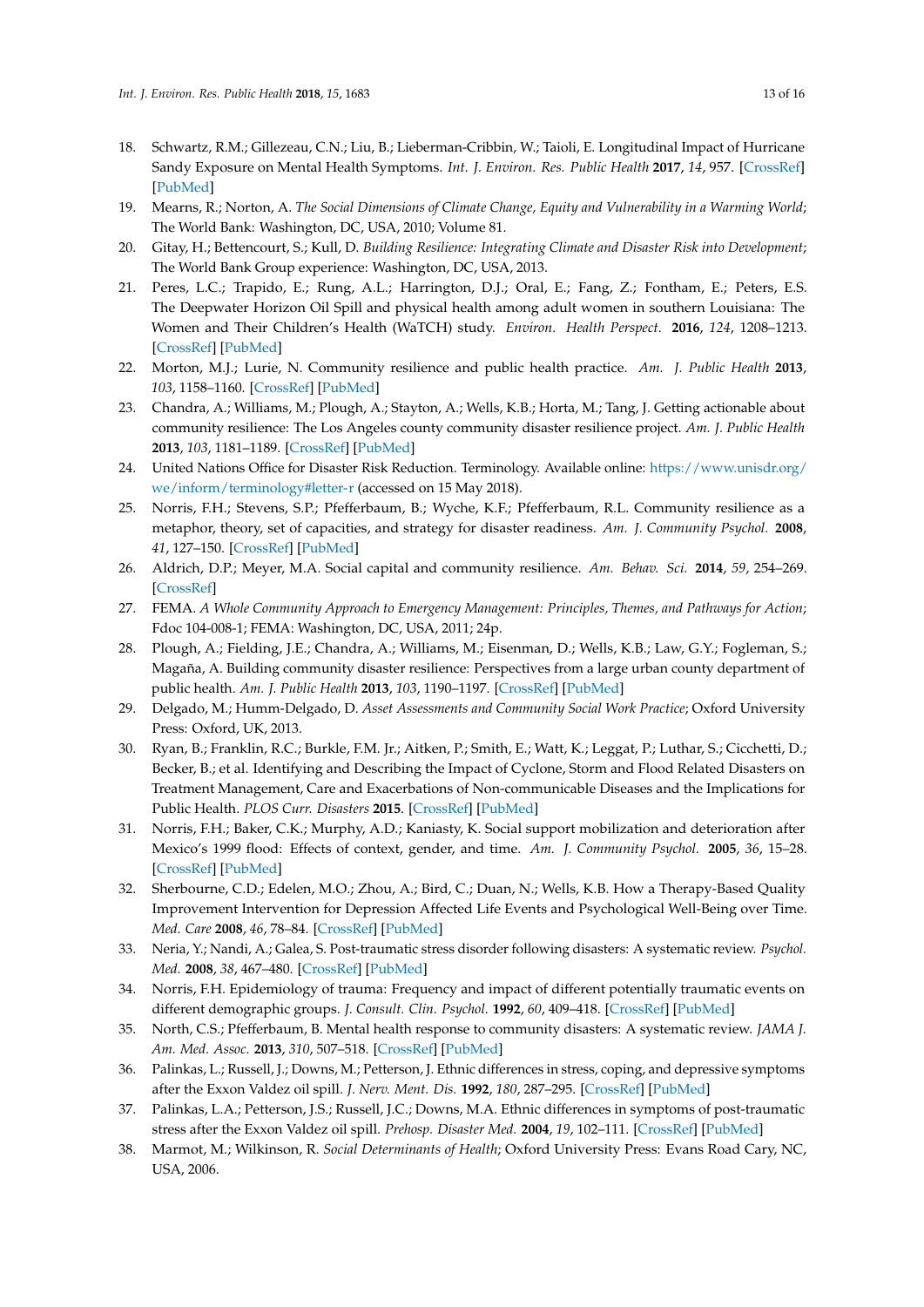- <span id="page-12-0"></span>18. Schwartz, R.M.; Gillezeau, C.N.; Liu, B.; Lieberman-Cribbin, W.; Taioli, E. Longitudinal Impact of Hurricane Sandy Exposure on Mental Health Symptoms. *Int. J. Environ. Res. Public Health* **2017**, *14*, 957. [\[CrossRef\]](http://dx.doi.org/10.3390/ijerph14090957) [\[PubMed\]](http://www.ncbi.nlm.nih.gov/pubmed/28837111)
- <span id="page-12-1"></span>19. Mearns, R.; Norton, A. *The Social Dimensions of Climate Change, Equity and Vulnerability in a Warming World*; The World Bank: Washington, DC, USA, 2010; Volume 81.
- 20. Gitay, H.; Bettencourt, S.; Kull, D. *Building Resilience: Integrating Climate and Disaster Risk into Development*; The World Bank Group experience: Washington, DC, USA, 2013.
- <span id="page-12-2"></span>21. Peres, L.C.; Trapido, E.; Rung, A.L.; Harrington, D.J.; Oral, E.; Fang, Z.; Fontham, E.; Peters, E.S. The Deepwater Horizon Oil Spill and physical health among adult women in southern Louisiana: The Women and Their Children's Health (WaTCH) study. *Environ. Health Perspect.* **2016**, *124*, 1208–1213. [\[CrossRef\]](http://dx.doi.org/10.1289/ehp.1510348) [\[PubMed\]](http://www.ncbi.nlm.nih.gov/pubmed/26794669)
- <span id="page-12-3"></span>22. Morton, M.J.; Lurie, N. Community resilience and public health practice. *Am. J. Public Health* **2013**, *103*, 1158–1160. [\[CrossRef\]](http://dx.doi.org/10.2105/AJPH.2013.301354) [\[PubMed\]](http://www.ncbi.nlm.nih.gov/pubmed/23678934)
- <span id="page-12-4"></span>23. Chandra, A.; Williams, M.; Plough, A.; Stayton, A.; Wells, K.B.; Horta, M.; Tang, J. Getting actionable about community resilience: The Los Angeles county community disaster resilience project. *Am. J. Public Health* **2013**, *103*, 1181–1189. [\[CrossRef\]](http://dx.doi.org/10.2105/AJPH.2013.301270) [\[PubMed\]](http://www.ncbi.nlm.nih.gov/pubmed/23678906)
- <span id="page-12-5"></span>24. United Nations Office for Disaster Risk Reduction. Terminology. Available online: [https://www.unisdr.org/](https://www.unisdr.org/we/inform/terminology#letter-r) [we/inform/terminology#letter-r](https://www.unisdr.org/we/inform/terminology#letter-r) (accessed on 15 May 2018).
- <span id="page-12-6"></span>25. Norris, F.H.; Stevens, S.P.; Pfefferbaum, B.; Wyche, K.F.; Pfefferbaum, R.L. Community resilience as a metaphor, theory, set of capacities, and strategy for disaster readiness. *Am. J. Community Psychol.* **2008**, *41*, 127–150. [\[CrossRef\]](http://dx.doi.org/10.1007/s10464-007-9156-6) [\[PubMed\]](http://www.ncbi.nlm.nih.gov/pubmed/18157631)
- <span id="page-12-7"></span>26. Aldrich, D.P.; Meyer, M.A. Social capital and community resilience. *Am. Behav. Sci.* **2014**, *59*, 254–269. [\[CrossRef\]](http://dx.doi.org/10.1177/0002764214550299)
- <span id="page-12-8"></span>27. FEMA. *A Whole Community Approach to Emergency Management: Principles, Themes, and Pathways for Action*; Fdoc 104-008-1; FEMA: Washington, DC, USA, 2011; 24p.
- <span id="page-12-9"></span>28. Plough, A.; Fielding, J.E.; Chandra, A.; Williams, M.; Eisenman, D.; Wells, K.B.; Law, G.Y.; Fogleman, S.; Magaña, A. Building community disaster resilience: Perspectives from a large urban county department of public health. *Am. J. Public Health* **2013**, *103*, 1190–1197. [\[CrossRef\]](http://dx.doi.org/10.2105/AJPH.2013.301268) [\[PubMed\]](http://www.ncbi.nlm.nih.gov/pubmed/23678937)
- 29. Delgado, M.; Humm-Delgado, D. *Asset Assessments and Community Social Work Practice*; Oxford University Press: Oxford, UK, 2013.
- <span id="page-12-10"></span>30. Ryan, B.; Franklin, R.C.; Burkle, F.M. Jr.; Aitken, P.; Smith, E.; Watt, K.; Leggat, P.; Luthar, S.; Cicchetti, D.; Becker, B.; et al. Identifying and Describing the Impact of Cyclone, Storm and Flood Related Disasters on Treatment Management, Care and Exacerbations of Non-communicable Diseases and the Implications for Public Health. *PLOS Curr. Disasters* **2015**. [\[CrossRef\]](http://dx.doi.org/10.1371/currents.dis.62e9286d152de04799644dcca47d9288) [\[PubMed\]](http://www.ncbi.nlm.nih.gov/pubmed/26468423)
- <span id="page-12-11"></span>31. Norris, F.H.; Baker, C.K.; Murphy, A.D.; Kaniasty, K. Social support mobilization and deterioration after Mexico's 1999 flood: Effects of context, gender, and time. *Am. J. Community Psychol.* **2005**, *36*, 15–28. [\[CrossRef\]](http://dx.doi.org/10.1007/s10464-005-6230-9) [\[PubMed\]](http://www.ncbi.nlm.nih.gov/pubmed/16134042)
- <span id="page-12-12"></span>32. Sherbourne, C.D.; Edelen, M.O.; Zhou, A.; Bird, C.; Duan, N.; Wells, K.B. How a Therapy-Based Quality Improvement Intervention for Depression Affected Life Events and Psychological Well-Being over Time. *Med. Care* **2008**, *46*, 78–84. [\[CrossRef\]](http://dx.doi.org/10.1097/MLR.0b013e318148478d) [\[PubMed\]](http://www.ncbi.nlm.nih.gov/pubmed/18162859)
- <span id="page-12-13"></span>33. Neria, Y.; Nandi, A.; Galea, S. Post-traumatic stress disorder following disasters: A systematic review. *Psychol. Med.* **2008**, *38*, 467–480. [\[CrossRef\]](http://dx.doi.org/10.1017/S0033291707001353) [\[PubMed\]](http://www.ncbi.nlm.nih.gov/pubmed/17803838)
- 34. Norris, F.H. Epidemiology of trauma: Frequency and impact of different potentially traumatic events on different demographic groups. *J. Consult. Clin. Psychol.* **1992**, *60*, 409–418. [\[CrossRef\]](http://dx.doi.org/10.1037/0022-006X.60.3.409) [\[PubMed\]](http://www.ncbi.nlm.nih.gov/pubmed/1619095)
- 35. North, C.S.; Pfefferbaum, B. Mental health response to community disasters: A systematic review. *JAMA J. Am. Med. Assoc.* **2013**, *310*, 507–518. [\[CrossRef\]](http://dx.doi.org/10.1001/jama.2013.107799) [\[PubMed\]](http://www.ncbi.nlm.nih.gov/pubmed/23925621)
- 36. Palinkas, L.; Russell, J.; Downs, M.; Petterson, J. Ethnic differences in stress, coping, and depressive symptoms after the Exxon Valdez oil spill. *J. Nerv. Ment. Dis.* **1992**, *180*, 287–295. [\[CrossRef\]](http://dx.doi.org/10.1097/00005053-199205000-00002) [\[PubMed\]](http://www.ncbi.nlm.nih.gov/pubmed/1583472)
- <span id="page-12-14"></span>37. Palinkas, L.A.; Petterson, J.S.; Russell, J.C.; Downs, M.A. Ethnic differences in symptoms of post-traumatic stress after the Exxon Valdez oil spill. *Prehosp. Disaster Med.* **2004**, *19*, 102–111. [\[CrossRef\]](http://dx.doi.org/10.1017/S1049023X00001552) [\[PubMed\]](http://www.ncbi.nlm.nih.gov/pubmed/15453167)
- <span id="page-12-15"></span>38. Marmot, M.; Wilkinson, R. *Social Determinants of Health*; Oxford University Press: Evans Road Cary, NC, USA, 2006.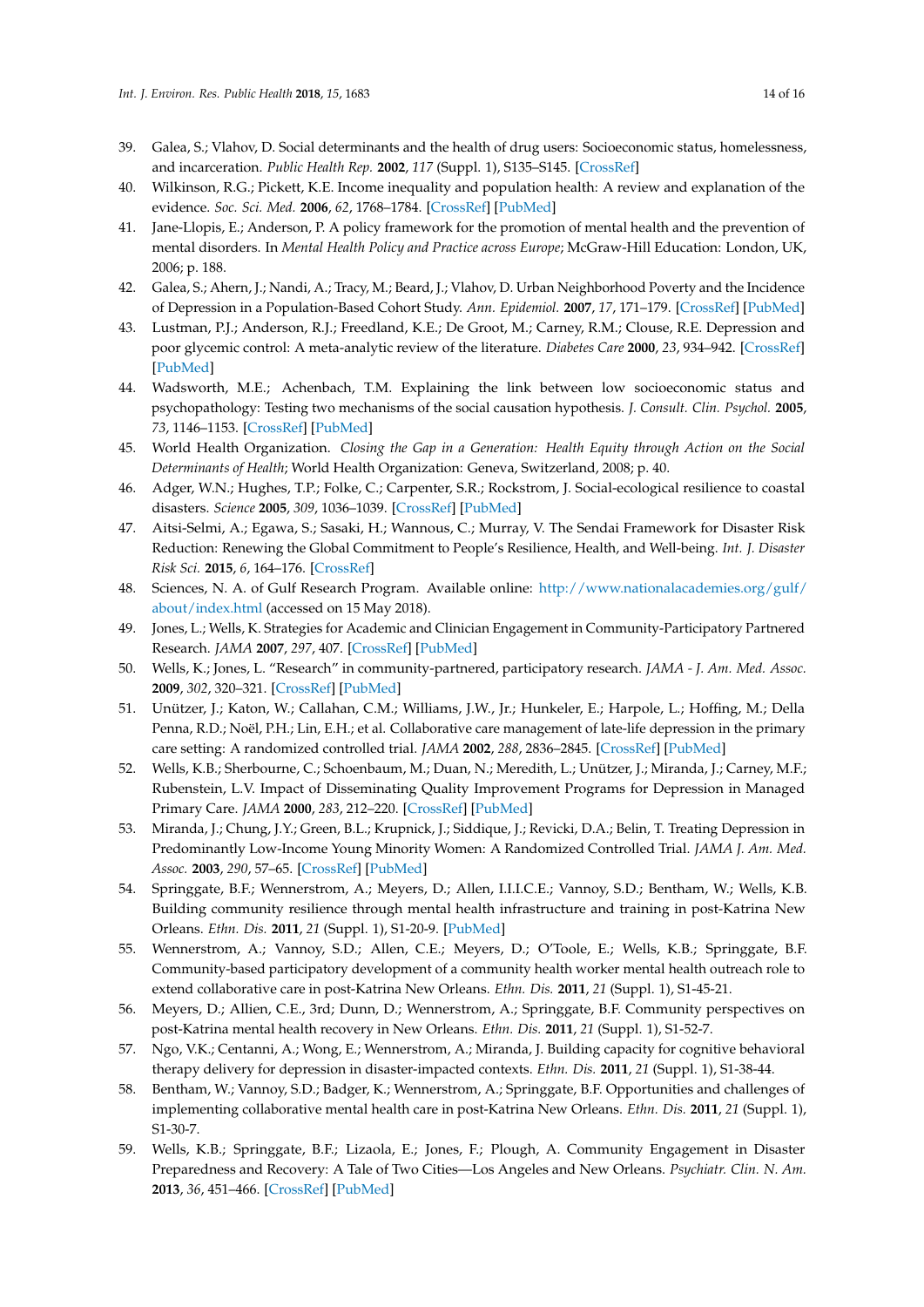- 39. Galea, S.; Vlahov, D. Social determinants and the health of drug users: Socioeconomic status, homelessness, and incarceration. *Public Health Rep.* **2002**, *117* (Suppl. 1), S135–S145. [\[CrossRef\]](http://dx.doi.org/10.2307/25747647)
- 40. Wilkinson, R.G.; Pickett, K.E. Income inequality and population health: A review and explanation of the evidence. *Soc. Sci. Med.* **2006**, *62*, 1768–1784. [\[CrossRef\]](http://dx.doi.org/10.1016/j.socscimed.2005.08.036) [\[PubMed\]](http://www.ncbi.nlm.nih.gov/pubmed/16226363)
- 41. Jane-Llopis, E.; Anderson, P. A policy framework for the promotion of mental health and the prevention of mental disorders. In *Mental Health Policy and Practice across Europe*; McGraw-Hill Education: London, UK, 2006; p. 188.
- 42. Galea, S.; Ahern, J.; Nandi, A.; Tracy, M.; Beard, J.; Vlahov, D. Urban Neighborhood Poverty and the Incidence of Depression in a Population-Based Cohort Study. *Ann. Epidemiol.* **2007**, *17*, 171–179. [\[CrossRef\]](http://dx.doi.org/10.1016/j.annepidem.2006.07.008) [\[PubMed\]](http://www.ncbi.nlm.nih.gov/pubmed/17320784)
- 43. Lustman, P.J.; Anderson, R.J.; Freedland, K.E.; De Groot, M.; Carney, R.M.; Clouse, R.E. Depression and poor glycemic control: A meta-analytic review of the literature. *Diabetes Care* **2000**, *23*, 934–942. [\[CrossRef\]](http://dx.doi.org/10.2337/diacare.23.7.934) [\[PubMed\]](http://www.ncbi.nlm.nih.gov/pubmed/10895843)
- 44. Wadsworth, M.E.; Achenbach, T.M. Explaining the link between low socioeconomic status and psychopathology: Testing two mechanisms of the social causation hypothesis. *J. Consult. Clin. Psychol.* **2005**, *73*, 1146–1153. [\[CrossRef\]](http://dx.doi.org/10.1037/0022-006X.73.6.1146) [\[PubMed\]](http://www.ncbi.nlm.nih.gov/pubmed/16392987)
- <span id="page-13-0"></span>45. World Health Organization. *Closing the Gap in a Generation: Health Equity through Action on the Social Determinants of Health*; World Health Organization: Geneva, Switzerland, 2008; p. 40.
- <span id="page-13-1"></span>46. Adger, W.N.; Hughes, T.P.; Folke, C.; Carpenter, S.R.; Rockstrom, J. Social-ecological resilience to coastal disasters. *Science* **2005**, *309*, 1036–1039. [\[CrossRef\]](http://dx.doi.org/10.1126/science.1112122) [\[PubMed\]](http://www.ncbi.nlm.nih.gov/pubmed/16099974)
- <span id="page-13-2"></span>47. Aitsi-Selmi, A.; Egawa, S.; Sasaki, H.; Wannous, C.; Murray, V. The Sendai Framework for Disaster Risk Reduction: Renewing the Global Commitment to People's Resilience, Health, and Well-being. *Int. J. Disaster Risk Sci.* **2015**, *6*, 164–176. [\[CrossRef\]](http://dx.doi.org/10.1007/s13753-015-0050-9)
- <span id="page-13-3"></span>48. Sciences, N. A. of Gulf Research Program. Available online: [http://www.nationalacademies.org/gulf/](http://www.nationalacademies.org/gulf/about/index.html) [about/index.html](http://www.nationalacademies.org/gulf/about/index.html) (accessed on 15 May 2018).
- <span id="page-13-4"></span>49. Jones, L.; Wells, K. Strategies for Academic and Clinician Engagement in Community-Participatory Partnered Research. *JAMA* **2007**, *297*, 407. [\[CrossRef\]](http://dx.doi.org/10.1001/jama.297.4.407) [\[PubMed\]](http://www.ncbi.nlm.nih.gov/pubmed/17244838)
- <span id="page-13-5"></span>50. Wells, K.; Jones, L. "Research" in community-partnered, participatory research. *JAMA - J. Am. Med. Assoc.* **2009**, *302*, 320–321. [\[CrossRef\]](http://dx.doi.org/10.1001/jama.2009.1033) [\[PubMed\]](http://www.ncbi.nlm.nih.gov/pubmed/19602693)
- <span id="page-13-6"></span>51. Unützer, J.; Katon, W.; Callahan, C.M.; Williams, J.W., Jr.; Hunkeler, E.; Harpole, L.; Hoffing, M.; Della Penna, R.D.; Noël, P.H.; Lin, E.H.; et al. Collaborative care management of late-life depression in the primary care setting: A randomized controlled trial. *JAMA* **2002**, *288*, 2836–2845. [\[CrossRef\]](http://dx.doi.org/10.1001/jama.288.22.2836) [\[PubMed\]](http://www.ncbi.nlm.nih.gov/pubmed/12472325)
- 52. Wells, K.B.; Sherbourne, C.; Schoenbaum, M.; Duan, N.; Meredith, L.; Unützer, J.; Miranda, J.; Carney, M.F.; Rubenstein, L.V. Impact of Disseminating Quality Improvement Programs for Depression in Managed Primary Care. *JAMA* **2000**, *283*, 212–220. [\[CrossRef\]](http://dx.doi.org/10.1001/jama.283.2.212) [\[PubMed\]](http://www.ncbi.nlm.nih.gov/pubmed/10634337)
- <span id="page-13-9"></span>53. Miranda, J.; Chung, J.Y.; Green, B.L.; Krupnick, J.; Siddique, J.; Revicki, D.A.; Belin, T. Treating Depression in Predominantly Low-Income Young Minority Women: A Randomized Controlled Trial. *JAMA J. Am. Med. Assoc.* **2003**, *290*, 57–65. [\[CrossRef\]](http://dx.doi.org/10.1001/jama.290.1.57) [\[PubMed\]](http://www.ncbi.nlm.nih.gov/pubmed/12837712)
- <span id="page-13-11"></span>54. Springgate, B.F.; Wennerstrom, A.; Meyers, D.; Allen, I.I.I.C.E.; Vannoy, S.D.; Bentham, W.; Wells, K.B. Building community resilience through mental health infrastructure and training in post-Katrina New Orleans. *Ethn. Dis.* **2011**, *21* (Suppl. 1), S1-20-9. [\[PubMed\]](http://www.ncbi.nlm.nih.gov/pubmed/22352077)
- <span id="page-13-10"></span>55. Wennerstrom, A.; Vannoy, S.D.; Allen, C.E.; Meyers, D.; O'Toole, E.; Wells, K.B.; Springgate, B.F. Community-based participatory development of a community health worker mental health outreach role to extend collaborative care in post-Katrina New Orleans. *Ethn. Dis.* **2011**, *21* (Suppl. 1), S1-45-21.
- 56. Meyers, D.; Allien, C.E., 3rd; Dunn, D.; Wennerstrom, A.; Springgate, B.F. Community perspectives on post-Katrina mental health recovery in New Orleans. *Ethn. Dis.* **2011**, *21* (Suppl. 1), S1-52-7.
- 57. Ngo, V.K.; Centanni, A.; Wong, E.; Wennerstrom, A.; Miranda, J. Building capacity for cognitive behavioral therapy delivery for depression in disaster-impacted contexts. *Ethn. Dis.* **2011**, *21* (Suppl. 1), S1-38-44.
- <span id="page-13-7"></span>58. Bentham, W.; Vannoy, S.D.; Badger, K.; Wennerstrom, A.; Springgate, B.F. Opportunities and challenges of implementing collaborative mental health care in post-Katrina New Orleans. *Ethn. Dis.* **2011**, *21* (Suppl. 1), S1-30-7.
- <span id="page-13-8"></span>59. Wells, K.B.; Springgate, B.F.; Lizaola, E.; Jones, F.; Plough, A. Community Engagement in Disaster Preparedness and Recovery: A Tale of Two Cities—Los Angeles and New Orleans. *Psychiatr. Clin. N. Am.* **2013**, *36*, 451–466. [\[CrossRef\]](http://dx.doi.org/10.1016/j.psc.2013.05.002) [\[PubMed\]](http://www.ncbi.nlm.nih.gov/pubmed/23954058)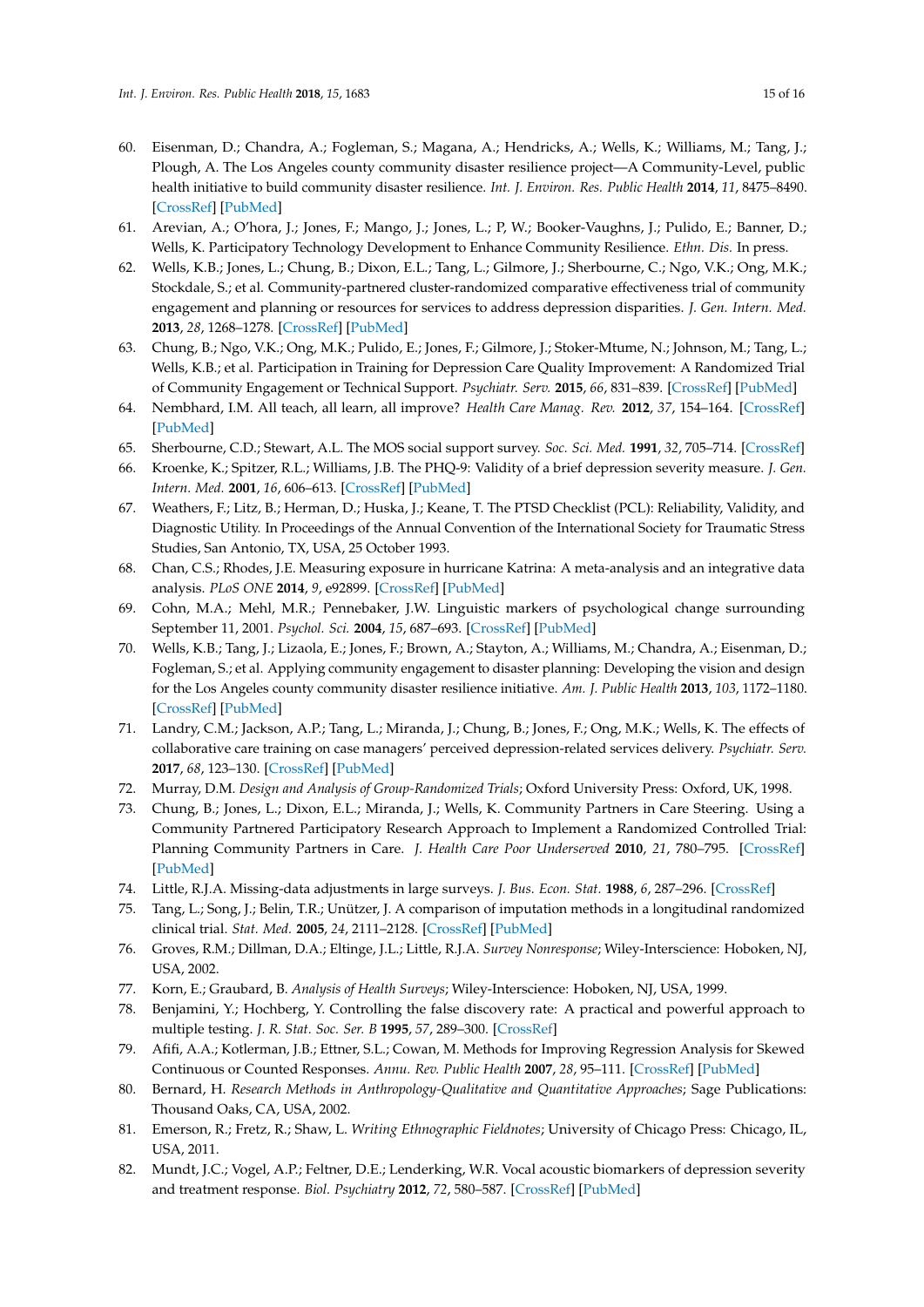- <span id="page-14-0"></span>60. Eisenman, D.; Chandra, A.; Fogleman, S.; Magana, A.; Hendricks, A.; Wells, K.; Williams, M.; Tang, J.; Plough, A. The Los Angeles county community disaster resilience project—A Community-Level, public health initiative to build community disaster resilience. *Int. J. Environ. Res. Public Health* **2014**, *11*, 8475–8490. [\[CrossRef\]](http://dx.doi.org/10.3390/ijerph110808475) [\[PubMed\]](http://www.ncbi.nlm.nih.gov/pubmed/25153472)
- <span id="page-14-1"></span>61. Arevian, A.; O'hora, J.; Jones, F.; Mango, J.; Jones, L.; P, W.; Booker-Vaughns, J.; Pulido, E.; Banner, D.; Wells, K. Participatory Technology Development to Enhance Community Resilience. *Ethn. Dis.* In press.
- <span id="page-14-2"></span>62. Wells, K.B.; Jones, L.; Chung, B.; Dixon, E.L.; Tang, L.; Gilmore, J.; Sherbourne, C.; Ngo, V.K.; Ong, M.K.; Stockdale, S.; et al. Community-partnered cluster-randomized comparative effectiveness trial of community engagement and planning or resources for services to address depression disparities. *J. Gen. Intern. Med.* **2013**, *28*, 1268–1278. [\[CrossRef\]](http://dx.doi.org/10.1007/s11606-013-2484-3) [\[PubMed\]](http://www.ncbi.nlm.nih.gov/pubmed/23649787)
- <span id="page-14-3"></span>63. Chung, B.; Ngo, V.K.; Ong, M.K.; Pulido, E.; Jones, F.; Gilmore, J.; Stoker-Mtume, N.; Johnson, M.; Tang, L.; Wells, K.B.; et al. Participation in Training for Depression Care Quality Improvement: A Randomized Trial of Community Engagement or Technical Support. *Psychiatr. Serv.* **2015**, *66*, 831–839. [\[CrossRef\]](http://dx.doi.org/10.1176/appi.ps.201400099) [\[PubMed\]](http://www.ncbi.nlm.nih.gov/pubmed/25930037)
- <span id="page-14-4"></span>64. Nembhard, I.M. All teach, all learn, all improve? *Health Care Manag. Rev.* **2012**, *37*, 154–164. [\[CrossRef\]](http://dx.doi.org/10.1097/HMR.0b013e31822af831) [\[PubMed\]](http://www.ncbi.nlm.nih.gov/pubmed/21775892)
- <span id="page-14-5"></span>65. Sherbourne, C.D.; Stewart, A.L. The MOS social support survey. *Soc. Sci. Med.* **1991**, *32*, 705–714. [\[CrossRef\]](http://dx.doi.org/10.1016/0277-9536(91)90150-B)
- <span id="page-14-6"></span>66. Kroenke, K.; Spitzer, R.L.; Williams, J.B. The PHQ-9: Validity of a brief depression severity measure. *J. Gen. Intern. Med.* **2001**, *16*, 606–613. [\[CrossRef\]](http://dx.doi.org/10.1046/j.1525-1497.2001.016009606.x) [\[PubMed\]](http://www.ncbi.nlm.nih.gov/pubmed/11556941)
- <span id="page-14-7"></span>67. Weathers, F.; Litz, B.; Herman, D.; Huska, J.; Keane, T. The PTSD Checklist (PCL): Reliability, Validity, and Diagnostic Utility. In Proceedings of the Annual Convention of the International Society for Traumatic Stress Studies, San Antonio, TX, USA, 25 October 1993.
- <span id="page-14-8"></span>68. Chan, C.S.; Rhodes, J.E. Measuring exposure in hurricane Katrina: A meta-analysis and an integrative data analysis. *PLoS ONE* **2014**, *9*, e92899. [\[CrossRef\]](http://dx.doi.org/10.1371/journal.pone.0092899) [\[PubMed\]](http://www.ncbi.nlm.nih.gov/pubmed/24713851)
- <span id="page-14-9"></span>69. Cohn, M.A.; Mehl, M.R.; Pennebaker, J.W. Linguistic markers of psychological change surrounding September 11, 2001. *Psychol. Sci.* **2004**, *15*, 687–693. [\[CrossRef\]](http://dx.doi.org/10.1111/j.0956-7976.2004.00741.x) [\[PubMed\]](http://www.ncbi.nlm.nih.gov/pubmed/15447640)
- <span id="page-14-10"></span>70. Wells, K.B.; Tang, J.; Lizaola, E.; Jones, F.; Brown, A.; Stayton, A.; Williams, M.; Chandra, A.; Eisenman, D.; Fogleman, S.; et al. Applying community engagement to disaster planning: Developing the vision and design for the Los Angeles county community disaster resilience initiative. *Am. J. Public Health* **2013**, *103*, 1172–1180. [\[CrossRef\]](http://dx.doi.org/10.2105/AJPH.2013.301407) [\[PubMed\]](http://www.ncbi.nlm.nih.gov/pubmed/23678916)
- <span id="page-14-11"></span>71. Landry, C.M.; Jackson, A.P.; Tang, L.; Miranda, J.; Chung, B.; Jones, F.; Ong, M.K.; Wells, K. The effects of collaborative care training on case managers' perceived depression-related services delivery. *Psychiatr. Serv.* **2017**, *68*, 123–130. [\[CrossRef\]](http://dx.doi.org/10.1176/appi.ps.201500550) [\[PubMed\]](http://www.ncbi.nlm.nih.gov/pubmed/27629796)
- <span id="page-14-12"></span>72. Murray, D.M. *Design and Analysis of Group-Randomized Trials*; Oxford University Press: Oxford, UK, 1998.
- <span id="page-14-13"></span>73. Chung, B.; Jones, L.; Dixon, E.L.; Miranda, J.; Wells, K. Community Partners in Care Steering. Using a Community Partnered Participatory Research Approach to Implement a Randomized Controlled Trial: Planning Community Partners in Care. *J. Health Care Poor Underserved* **2010**, *21*, 780–795. [\[CrossRef\]](http://dx.doi.org/10.1353/hpu.0.0345) [\[PubMed\]](http://www.ncbi.nlm.nih.gov/pubmed/20693725)
- <span id="page-14-14"></span>74. Little, R.J.A. Missing-data adjustments in large surveys. *J. Bus. Econ. Stat.* **1988**, *6*, 287–296. [\[CrossRef\]](http://dx.doi.org/10.1080/07350015.1988.10509663)
- <span id="page-14-15"></span>75. Tang, L.; Song, J.; Belin, T.R.; Unützer, J. A comparison of imputation methods in a longitudinal randomized clinical trial. *Stat. Med.* **2005**, *24*, 2111–2128. [\[CrossRef\]](http://dx.doi.org/10.1002/sim.2099) [\[PubMed\]](http://www.ncbi.nlm.nih.gov/pubmed/15889392)
- <span id="page-14-16"></span>76. Groves, R.M.; Dillman, D.A.; Eltinge, J.L.; Little, R.J.A. *Survey Nonresponse*; Wiley-Interscience: Hoboken, NJ, USA, 2002.
- <span id="page-14-17"></span>77. Korn, E.; Graubard, B. *Analysis of Health Surveys*; Wiley-Interscience: Hoboken, NJ, USA, 1999.
- <span id="page-14-18"></span>78. Benjamini, Y.; Hochberg, Y. Controlling the false discovery rate: A practical and powerful approach to multiple testing. *J. R. Stat. Soc. Ser. B* **1995**, *57*, 289–300. [\[CrossRef\]](http://dx.doi.org/10.2307/2346101)
- <span id="page-14-19"></span>79. Afifi, A.A.; Kotlerman, J.B.; Ettner, S.L.; Cowan, M. Methods for Improving Regression Analysis for Skewed Continuous or Counted Responses. *Annu. Rev. Public Health* **2007**, *28*, 95–111. [\[CrossRef\]](http://dx.doi.org/10.1146/annurev.publhealth.28.082206.094100) [\[PubMed\]](http://www.ncbi.nlm.nih.gov/pubmed/17112339)
- <span id="page-14-20"></span>80. Bernard, H. *Research Methods in Anthropology-Qualitative and Quantitative Approaches*; Sage Publications: Thousand Oaks, CA, USA, 2002.
- <span id="page-14-21"></span>81. Emerson, R.; Fretz, R.; Shaw, L. *Writing Ethnographic Fieldnotes*; University of Chicago Press: Chicago, IL, USA, 2011.
- <span id="page-14-22"></span>82. Mundt, J.C.; Vogel, A.P.; Feltner, D.E.; Lenderking, W.R. Vocal acoustic biomarkers of depression severity and treatment response. *Biol. Psychiatry* **2012**, *72*, 580–587. [\[CrossRef\]](http://dx.doi.org/10.1016/j.biopsych.2012.03.015) [\[PubMed\]](http://www.ncbi.nlm.nih.gov/pubmed/22541039)